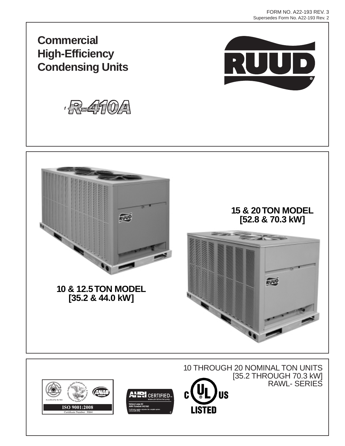

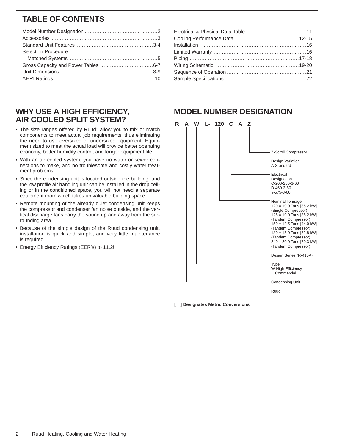# **TABLE OF CONTENTS**

| <b>Selection Procedure</b> |  |
|----------------------------|--|
|                            |  |
|                            |  |
|                            |  |
|                            |  |
|                            |  |

# **WHY USE A HIGH EFFICIENCY, AIR COOLED SPLIT SYSTEM?**

- The size ranges offered by Ruud® allow you to mix or match components to meet actual job requirements, thus eliminating the need to use oversized or undersized equipment. Equipment sized to meet the actual load will provide better operating economy, better humidity control, and longer equipment life.
- With an air cooled system, you have no water or sewer connections to make, and no troublesome and costly water treatment problems.
- Since the condensing unit is located outside the building, and the low profile air handling unit can be installed in the drop ceiling or in the conditioned space, you will not need a separate equipment room which takes up valuable building space.
- Remote mounting of the already quiet condensing unit keeps the compressor and condenser fan noise outside, and the vertical discharge fans carry the sound up and away from the surrounding area.
- Because of the simple design of the Ruud condensing unit, installation is quick and simple, and very little maintenance is required.
- Energy Efficiency Ratings (EER's) to 11.2!

# **MODEL NUMBER DESIGNATION**

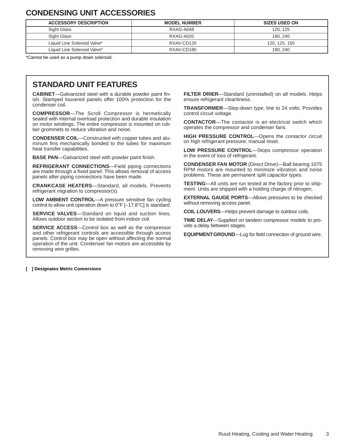# **CONDENSING UNIT ACCESSORIES**

| <b>ACCESSORY DESCRIPTION</b> | <b>MODEL NUMBER</b> | <b>SIZES USED ON</b> |
|------------------------------|---------------------|----------------------|
| Sight Glass                  | RXAG-A048           | 120, 125             |
| Sight Glass                  | RXAG-A020           | 180, 240             |
| Liquid Line Solenoid Valve*  | RXAV-CD120          | 120, 125, 150        |
| Liquid Line Solenoid Valve*  | RXAV-CD180          | 180.240              |

\*Cannot be used as a pump down solenoid.

# **STANDARD UNIT FEATURES**

**CABINET**—Galvanized steel with a durable powder paint finish. Stamped louvered panels offer 100% protection for the condenser coil.

**COMPRESSOR**—The Scroll Compressor is hermetically sealed with internal overload protection and durable insulation on motor windings. The entire compressor is mounted on rubber grommets to reduce vibration and noise.

**CONDENSER COIL**—Constructed with copper tubes and aluminum fins mechanically bonded to the tubes for maximum heat transfer capabilities.

**BASE PAN**—Galvanized steel with powder paint finish.

**REFRIGERANT CONNECTIONS**—Field piping connections are made through a fixed panel. This allows removal of access panels after piping connections have been made.

**CRANKCASE HEATERS**—Standard, all models. Prevents refrigerant migration to compressor(s).

**LOW AMBIENT CONTROL**—A pressure sensitive fan cycling control to allow unit operation down to 0°F [–17.8°C] is standard.

**SERVICE VALVES**—Standard on liquid and suction lines. Allows outdoor section to be isolated from indoor coil.

**SERVICE ACCESS**—Control box as well as the compressor and other refrigerant controls are accessible through access panels. Control box may be open without affecting the normal operation of the unit. Condenser fan motors are accessible by removing wire grilles.

**FILTER DRIER**—Standard (uninstalled) on all models. Helps ensure refrigerant cleanliness.

**TRANSFORMER**—Step-down type, line to 24 volts. Provides control circuit voltage.

**CONTACTOR**—The contactor is an electrical switch which operates the compressor and condenser fans.

**HIGH PRESSURE CONTROL**—Opens the contactor circuit on high refrigerant pressure; manual reset.

**LOW PRESSURE CONTROL**—Stops compressor operation in the event of loss of refrigerant.

**CONDENSER FAN MOTOR** (Direct Drive)—Ball bearing 1075 RPM motors are mounted to minimize vibration and noise problems. These are permanent split capacitor types.

**TESTING**—All units are run tested at the factory prior to shipment. Units are shipped with a holding charge of nitrogen.

**EXTERNAL GAUGE PORTS**—Allows pressures to be checked without removing access panel.

**COIL LOUVERS**—Helps prevent damage to outdoor coils.

**TIME DELAY**—Supplied on tandem compressor models to provide a delay between stages.

**EQUIPMENTGROUND**—Lug for field connection of ground wire.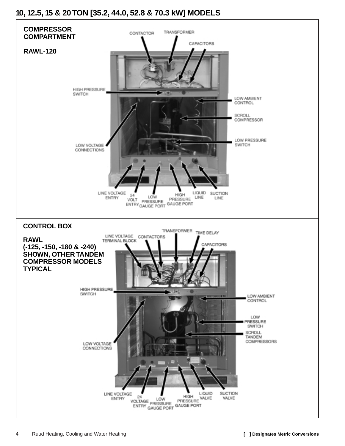# **10, 12.5, 15 & 20 TON [35.2, 44.0, 52.8 & 70.3 kW] MODELS**

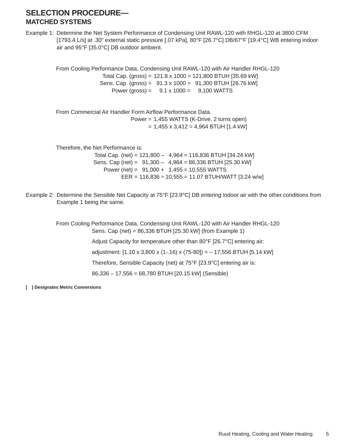# **SELECTION PROCEDURE— MATCHED SYSTEMS**

Example 1: Determine the Net System Performance of Condensing Unit RAWL-120 with RHGL-120 at 3800 CFM [1793.4 L/s] at .30" external static pressure [.07 kPa], 80°F [26.7°C] DB/67°F [19.4°C] WB entering indoor air and 95°F [35.0°C] DB outdoor ambient.

From Cooling Performance Data, Condensing Unit RAWL-120 with Air Handler RHGL-120 Total Cap. (gross) = 121.8 x 1000 = 121,800 BTUH [35.69 kW] Sens. Cap. (gross) = 91.3 x 1000 = 91,300 BTUH [26.76 kW] Power (gross) =  $9.1 \times 1000 = 9.100$  WATTS From Commercial Air Handler Form Airflow Performance Data. Power = 1,455 WATTS (K-Drive, 2 turns open)  $= 1,455 \times 3,412 = 4,964$  BTUH [1.4 kW] Therefore, the Net Performance is: Total Cap. (net) = 121,800 – 4,964 = 116,836 BTUH [34.24 kW] Sens. Cap (net) = 91,300 – 4,964 = 86,336 BTUH [25.30 kW] Power (net) =  $91,000 + 1,455 = 10,555$  WATTS EER =  $116,836 \div 10,555 = 11.07$  BTUH/WATT [3.24 w/w]

Example 2: Determine the Sensible Net Capacity at 75°F [23.9°C] DB entering indoor air with the other conditions from Example 1 being the same.

> From Cooling Performance Data, Condensing Unit RAWL-120 with Air Handler RHGL-120 Sens. Cap (net) = 86,336 BTUH [25.30 kW] (from Example 1) Adjust Capacity for temperature other than 80°F [26.7°C] entering air: adjustment: [1.10 x 3,800 x (1-.16) x (75-80]) = – 17,556 BTUH [5.14 kW]

> > Therefore, Sensible Capacity (net) at 75°F [23.9°C] entering air is:

86,336 – 17,556 = 68,780 BTUH [20.15 kW] (Sensible)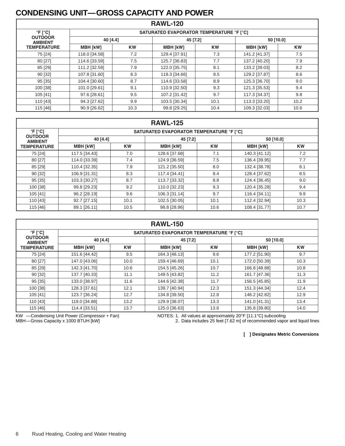# **CONDENSING UNIT—GROSS CAPACITY AND POWER**

| <b>RAWL-120</b>                  |                                                 |           |                 |           |                 |           |  |  |  |  |  |
|----------------------------------|-------------------------------------------------|-----------|-----------------|-----------|-----------------|-----------|--|--|--|--|--|
| $\degree$ F [ $\degree$ C]       | <b>SATURATED EVAPORATOR TEMPERATURE °F [°C]</b> |           |                 |           |                 |           |  |  |  |  |  |
| <b>OUTDOOR</b><br><b>AMBIENT</b> | 40 [4.4]                                        |           | 45 [7.2]        |           | 50 [10.0]       |           |  |  |  |  |  |
| <b>TEMPERATURE</b>               | <b>MBH [kW]</b>                                 | <b>KW</b> | <b>MBH [kW]</b> | <b>KW</b> | <b>MBH [kW]</b> | <b>KW</b> |  |  |  |  |  |
| 75 [24]                          | 118.0 [34.58]                                   | 7.2       | 129.4 [37.91]   | 7.3       | 141.2 [41.37]   | 7.5       |  |  |  |  |  |
| 80 [27]                          | 114.6 [33.59]                                   | 7.5       | 125.7 [36.83]   | 7.7       | 137.2 [40.20]   | 7.9       |  |  |  |  |  |
| 85 [29]                          | 111.2 [32.59]                                   | 7.9       | 122.0 [35.75]   | 8.1       | 133.2 [39.03]   | 8.2       |  |  |  |  |  |
| 90 [32]                          | 107.8 [31.60]                                   | 8.3       | 118.3 [34.66]   | 8.5       | 129.2 [37.87]   | 8.6       |  |  |  |  |  |
| 95 [35]                          | 104.4 [30.60]                                   | 8.7       | 114.6 [33.58]   | 8.9       | 125.3 [36.70]   | 9.0       |  |  |  |  |  |
| 100 [38]                         | 101.0 [29.61]                                   | 9.1       | 110.9 [32.50]   | 9.3       | 121.3 [35.53]   | 9.4       |  |  |  |  |  |
| 105 [41]                         | 97.6 [28.61]                                    | 9.5       | 107.2 [31.42]   | 9.7       | 117.3 [34.37]   | 9.8       |  |  |  |  |  |
| 110 [43]                         | 94.3 [27.62]                                    | 9.9       | 103.5 [30.34]   | 10.1      | 113.3 [33.20]   | 10.2      |  |  |  |  |  |
| 115 [46]                         | 90.9 [26.62]                                    | 10.3      | 99.8 [29.25]    | 10.4      | 109.3 [32.03]   | 10.6      |  |  |  |  |  |

|                                  | <b>RAWL-125</b>                                 |           |                 |           |                 |           |  |  |  |  |  |  |  |
|----------------------------------|-------------------------------------------------|-----------|-----------------|-----------|-----------------|-----------|--|--|--|--|--|--|--|
| $\degree$ F [ $\degree$ C]       | <b>SATURATED EVAPORATOR TEMPERATURE °F [°C]</b> |           |                 |           |                 |           |  |  |  |  |  |  |  |
| <b>OUTDOOR</b><br><b>AMBIENT</b> | 40 [4.4]                                        |           | 45 [7.2]        |           | 50 [10.0]       |           |  |  |  |  |  |  |  |
| <b>TEMPERATURE</b>               | <b>MBH [kW]</b>                                 | <b>KW</b> | <b>MBH [kW]</b> | <b>KW</b> | <b>MBH [kW]</b> | <b>KW</b> |  |  |  |  |  |  |  |
| 75 [24]                          | 117.5 [34.43]                                   | 7.0       | 128.6 [37.68]   | 7.1       | 140.3 [41.12]   | 7.2       |  |  |  |  |  |  |  |
| 80 [27]                          | 114.0 [33.39]                                   | 7.4       | 124.9 [36.59]   | 7.5       | 136.4 [39.95]   | 7.7       |  |  |  |  |  |  |  |
| 85 [29]                          | 110.4 [32.35]                                   | 7.9       | 121.2 [35.50]   | 8.0       | 132.4 [38.78]   | 8.1       |  |  |  |  |  |  |  |
| 90 [32]                          | 106.9 [31.31]                                   | 8.3       | 117.4 [34.41]   | 8.4       | 128.4 [37.62]   | 8.5       |  |  |  |  |  |  |  |
| 95 [35]                          | 103.3 [30.27]                                   | 8.7       | 113.7 [33.32]   | 8.8       | 124.4 [36.45]   | 9.0       |  |  |  |  |  |  |  |
| 100 [38]                         | 99.8 [29.23]                                    | 9.2       | 110.0 [32.23]   | 9.3       | 120.4 [35.28]   | 9.4       |  |  |  |  |  |  |  |
| 105 [41]                         | 96.2 [28.19]                                    | 9.6       | 106.3 [31.14]   | 9.7       | 116.4 [34.11]   | 9.9       |  |  |  |  |  |  |  |
| 110 [43]                         | 92.7 [27.15]                                    | 10.1      | 102.5 [30.05]   | 10.1      | 112.4 [32.94]   | 10.3      |  |  |  |  |  |  |  |
| 115 [46]                         | 89.1 [26.11]                                    | 10.5      | 98.8 [28.96]    | 10.6      | 108.4 [31.77]   | 10.7      |  |  |  |  |  |  |  |

|                                  | <b>RAWL-150</b>                          |           |                 |           |                 |           |  |  |  |  |  |  |  |
|----------------------------------|------------------------------------------|-----------|-----------------|-----------|-----------------|-----------|--|--|--|--|--|--|--|
| $\degree$ F [ $\degree$ C]       | SATURATED EVAPORATOR TEMPERATURE °F [°C] |           |                 |           |                 |           |  |  |  |  |  |  |  |
| <b>OUTDOOR</b><br><b>AMBIENT</b> | 40 [4.4]                                 |           | 45 [7.2]        |           | 50 [10.0]       |           |  |  |  |  |  |  |  |
| <b>TEMPERATURE</b>               | <b>MBH [kW]</b>                          | <b>KW</b> | <b>MBH [kW]</b> | <b>KW</b> | <b>MBH [kW]</b> | <b>KW</b> |  |  |  |  |  |  |  |
| 75 [24]                          | 151.6 [44.42]                            | 9.5       | 164.3 [48.13]   | 9.6       | 177.2 [51.90]   | 9.7       |  |  |  |  |  |  |  |
| 80 [27]                          | 147.0 [43.06]                            | 10.0      | 159.4 [46.69]   | 10.1      | 172.0 [50.39]   | 10.3      |  |  |  |  |  |  |  |
| 85 [29]                          | 142.3 [41.70]                            | 10.6      | 154.5 [45.26]   | 10.7      | 166.8 [48.88]   | 10.8      |  |  |  |  |  |  |  |
| 90 [32]                          | 137.7 [40.33]                            | 11.1      | 149.5 [43.82]   | 11.2      | 161.7 [47.36]   | 11.3      |  |  |  |  |  |  |  |
| 95 [35]                          | 133.0 [38.97]                            | 11.6      | 144.6 [42.38]   | 11.7      | 156.5 [45.85]   | 11.9      |  |  |  |  |  |  |  |
| 100 [38]                         | 128.3 [37.61]                            | 12.1      | 139.7 [40.94]   | 12.3      | 151.3 [44.34]   | 12.4      |  |  |  |  |  |  |  |
| 105 [41]                         | 123.7 [36.24]                            | 12.7      | 134.8 [39.50]   | 12.8      | 146.2 [42.82]   | 12.9      |  |  |  |  |  |  |  |
| 110 [43]                         | 119.0 [34.88]                            | 13.2      | 129.9 [38.07]   | 13.3      | 141.0 [41.31]   | 13.4      |  |  |  |  |  |  |  |
| 115 [46]                         | 114.4 [33.51]                            | 13.7      | 125.0 [36.63]   | 13.8      | 135.8 [39.80]   | 14.0      |  |  |  |  |  |  |  |

KW —Condensing Unit Power (Compressor + Fan) MBH—Gross Capacity x 1000 BTUH [kW]

NOTES: 1. All values at approximately 20°F [11.1°C] subcooling

2. Data includes 25 feet [7.62 m] of recommended vapor and liquid lines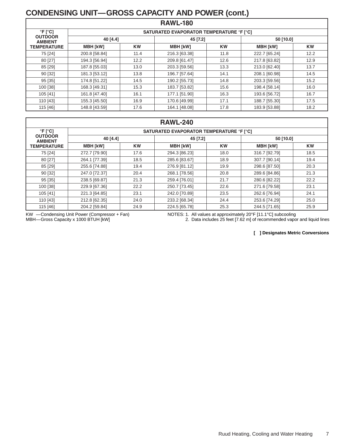# **CONDENSING UNIT—GROSS CAPACITY AND POWER (cont.)**

| <b>RAWL-180</b>                  |                                                 |           |                 |           |                 |           |  |  |  |  |  |  |
|----------------------------------|-------------------------------------------------|-----------|-----------------|-----------|-----------------|-----------|--|--|--|--|--|--|
| $\degree$ F [ $\degree$ C]       | <b>SATURATED EVAPORATOR TEMPERATURE °F [°C]</b> |           |                 |           |                 |           |  |  |  |  |  |  |
| <b>OUTDOOR</b><br><b>AMBIENT</b> | 40 [4.4]                                        |           | 45 [7.2]        |           | 50 [10.0]       |           |  |  |  |  |  |  |
| <b>TEMPERATURE</b>               | <b>MBH [kW]</b>                                 | <b>KW</b> | <b>MBH [kW]</b> | <b>KW</b> | <b>MBH [kW]</b> | <b>KW</b> |  |  |  |  |  |  |
| 75 [24]                          | 200.8 [58.84]                                   | 11.4      | 216.3 [63.38]   | 11.8      | 222.7 [65.24]   | 12.2      |  |  |  |  |  |  |
| 80 [27]                          | 194.3 [56.94]                                   | 12.2      | 209.8 [61.47]   | 12.6      | 217.8 [63.82]   | 12.9      |  |  |  |  |  |  |
| 85 [29]                          | 187.8 [55.03]                                   | 13.0      | 203.3 [59.56]   | 13.3      | 213.0 [62.40]   | 13.7      |  |  |  |  |  |  |
| 90 [32]                          | 181.3 [53.12]                                   | 13.8      | 196.7 [57.64]   | 14.1      | 208.1 [60.98]   | 14.5      |  |  |  |  |  |  |
| 95 [35]                          | 174.8 [51.22]                                   | 14.5      | 190.2 [55.73]   | 14.8      | 203.3 [59.56]   | 15.2      |  |  |  |  |  |  |
| 100 [38]                         | 168.3 [49.31]                                   | 15.3      | 183.7 [53.82]   | 15.6      | 198.4 [58.14]   | 16.0      |  |  |  |  |  |  |
| 105 [41]                         | 161.8 [47.40]                                   | 16.1      | 177.1 [51.90]   | 16.3      | 193.6 [56.72]   | 16.7      |  |  |  |  |  |  |
| 110 [43]                         | 155.3 [45.50]                                   | 16.9      | 170.6 [49.99]   | 17.1      | 188.7 [55.30]   | 17.5      |  |  |  |  |  |  |
| 115 [46]                         | 148.8 [43.59]                                   | 17.6      | 164.1 [48.08]   | 17.8      | 183.9 [53.88]   | 18.2      |  |  |  |  |  |  |

|                                  | <b>RAWL-240</b>                                 |           |                 |           |                 |           |  |  |  |  |  |  |  |
|----------------------------------|-------------------------------------------------|-----------|-----------------|-----------|-----------------|-----------|--|--|--|--|--|--|--|
| $\degree$ F [ $\degree$ C]       | <b>SATURATED EVAPORATOR TEMPERATURE °F [°C]</b> |           |                 |           |                 |           |  |  |  |  |  |  |  |
| <b>OUTDOOR</b><br><b>AMBIENT</b> | 40 [4.4]                                        |           | 45 [7.2]        |           | 50 [10.0]       |           |  |  |  |  |  |  |  |
| <b>TEMPERATURE</b>               | <b>MBH [kW]</b>                                 | <b>KW</b> | <b>MBH [kW]</b> | <b>KW</b> | <b>MBH [kW]</b> | <b>KW</b> |  |  |  |  |  |  |  |
| 75 [24]                          | 272.7 [79.90]                                   | 17.6      | 294.3 [86.23]   | 18.0      | 316.7 [92.79]   | 18.5      |  |  |  |  |  |  |  |
| 80 [27]                          | 264.1 [77.39]                                   | 18.5      | 285.6 [83.67]   | 18.9      | 307.7 [90.14]   | 19.4      |  |  |  |  |  |  |  |
| 85 [29]                          | 255.6 [74.88]                                   | 19.4      | 276.9 [81.12]   | 19.9      | 298.6 [87.50]   | 20.3      |  |  |  |  |  |  |  |
| 90 [32]                          | 247.0 [72.37]                                   | 20.4      | 268.1 [78.56]   | 20.8      | 289.6 [84.86]   | 21.3      |  |  |  |  |  |  |  |
| 95 [35]                          | 238.5 [69.87]                                   | 21.3      | 259.4 [76.01]   | 21.7      | 280.6 [82.22]   | 22.2      |  |  |  |  |  |  |  |
| 100 [38]                         | 229.9 [67.36]                                   | 22.2      | 250.7 [73.45]   | 22.6      | 271.6 [79.58]   | 23.1      |  |  |  |  |  |  |  |
| 105 [41]                         | 221.3 [64.85]                                   | 23.1      | 242.0 [70.89]   | 23.5      | 262.6 [76.94]   | 24.1      |  |  |  |  |  |  |  |
| 110 [43]                         | 212.8 [62.35]                                   | 24.0      | 233.2 [68.34]   | 24.4      | 253.6 [74.29]   | 25.0      |  |  |  |  |  |  |  |
| 115 [46]                         | 204.2 [59.84]                                   | 24.9      | 224.5 [65.78]   | 25.3      | 244.5 [71.65]   | 25.9      |  |  |  |  |  |  |  |

KW —Condensing Unit Power (Compressor + Fan) MBH—Gross Capacity x 1000 BTUH [kW]

NOTES: 1. All values at approximately 20°F [11.1°C] subcooling

2. Data includes 25 feet [7.62 m] of recommended vapor and liquid lines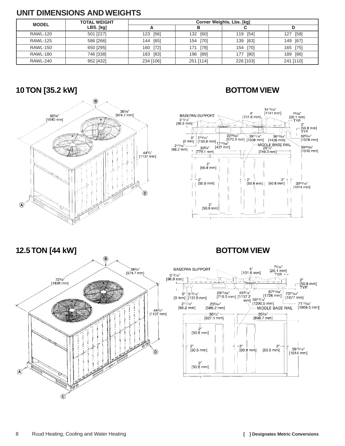# **UNIT DIMENSIONS AND WEIGHTS**

| <b>MODEL</b>    | <b>TOTAL WEIGHT</b> | Corner Weights, Lbs. [kg] |             |             |               |  |  |  |  |  |
|-----------------|---------------------|---------------------------|-------------|-------------|---------------|--|--|--|--|--|
|                 | LBS. [kg]           |                           |             |             |               |  |  |  |  |  |
| <b>RAWL-120</b> | 501 [227]           | [56]<br>123               | [60]<br>132 | 119 [54]    | [58]<br>127   |  |  |  |  |  |
| <b>RAWL-125</b> | 586 [266]           | [65]<br>144               | 154 [70]    | 139<br>[63] | [67]<br>149   |  |  |  |  |  |
| <b>RAWL-150</b> | 650 [295]           | 160 [72]                  | [78]<br>171 | 154 [70]    | $[75]$<br>165 |  |  |  |  |  |
| <b>RAWL-180</b> | 746 [338]           | [83]<br>183               | 196 [89]    | [80]<br>177 | [86]<br>189   |  |  |  |  |  |
| <b>RAWL-240</b> | 952 [432]           | 234 [106]                 | 251 [114]   | 226 [103]   | 241 [110]     |  |  |  |  |  |

# **10 TON [35.2 kW] BOTTOM VIEW**





# **12.5 TON [44 kW] BOTTOM VIEW**



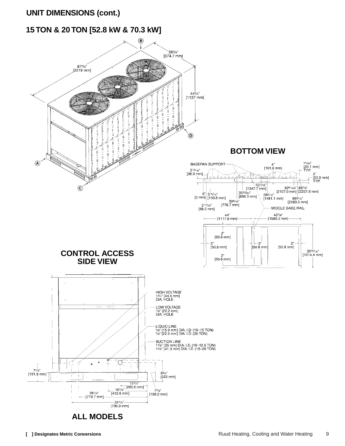# **UNIT DIMENSIONS (cont.)**

# **15 TON & 20 TON [52.8 kW & 70.3 kW]**

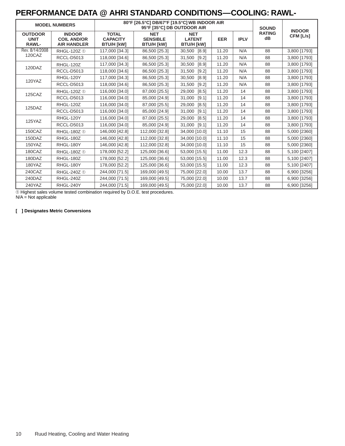# **PERFORMANCE DATA @ AHRI STANDARD CONDITIONS—COOLING: RAWL-**

|                                               | <b>MODEL NUMBERS</b>                                      |                                                      | 80°F [26.5°C] DB/67°F [19.5°C] WB INDOOR AIR<br>95°F [35°C] DB OUTDOOR AIR |                                                  |            |             | <b>SOUND</b>        | <b>INDOOR</b> |
|-----------------------------------------------|-----------------------------------------------------------|------------------------------------------------------|----------------------------------------------------------------------------|--------------------------------------------------|------------|-------------|---------------------|---------------|
| <b>OUTDOOR</b><br><b>UNIT</b><br><b>RAWL-</b> | <b>INDOOR</b><br><b>COIL AND/OR</b><br><b>AIR HANDLER</b> | <b>TOTAL</b><br><b>CAPACITY</b><br><b>BTU/H [kW]</b> | <b>NET</b><br><b>SENSIBLE</b><br><b>BTU/H [kW]</b>                         | <b>NET</b><br><b>LATENT</b><br><b>BTU/H [kW]</b> | <b>EER</b> | <b>IPLV</b> | <b>RATING</b><br>dB | CFM [L/s]     |
| Rev. 8/14/2008                                | RHGL-120Z ①                                               | 117,000 [34.3]                                       | 86,500 [25.3]                                                              | 30,500<br>[8.9]                                  | 11.20      | N/A         | 88                  | 3,800 [1793]  |
| 120CAZ                                        | <b>RCCL-D5013</b>                                         | 118,000 [34.6]                                       | 86,500 [25.3]                                                              | 31,500<br>$[9.2]$                                | 11.20      | N/A         | 88                  | 3,800 [1793]  |
| 120DAZ                                        | <b>RHGL-120Z</b>                                          | 117,000 [34.3]                                       | 86,500 [25.3]                                                              | 30,500<br>[8.9]                                  | 11.20      | N/A         | 88                  | 3,800 [1793]  |
|                                               | <b>RCCL-D5013</b>                                         | 118,000 [34.6]                                       | 86,500 [25.3]                                                              | 31,500<br>[9.2]                                  | 11.20      | N/A         | 88                  | 3,800 [1793]  |
| 120YAZ                                        | RHGL-120Y                                                 | 117,000 [34.3]                                       | 86,500 [25.3]                                                              | 30,500<br>[8.9]                                  | 11.20      | N/A         | 88                  | 3,800 [1793]  |
|                                               | <b>RCCL-D5013</b>                                         | 118,000 [34.6]                                       | 86,500 [25.3]                                                              | 31,500<br>[9.2]                                  | 11.20      | N/A         | 88                  | 3,800 [1793]  |
| <b>125CAZ</b>                                 | RHGL-120Z ①                                               | 116,000 [34.0]                                       | 87,000 [25.5]                                                              | [8.5]<br>29,000                                  | 11.20      | 14          | 88                  | 3,800 [1793]  |
|                                               | <b>RCCL-D5013</b>                                         | 116,000 [34.0]                                       | 85,000 [24.9]                                                              | 31,000<br>[9.1]                                  | 11.20      | 14          | 88                  | 3,800 [1793]  |
| 125DAZ                                        | <b>RHGL-120Z</b>                                          | 116,000 [34.0]                                       | 87,000 [25.5]                                                              | 29,000<br>[8.5]                                  | 11.20      | 14          | 88                  | 3,800 [1793]  |
|                                               | <b>RCCL-D5013</b>                                         | 116,000 [34.0]                                       | 85,000 [24.9]                                                              | 31,000<br>[9.1]                                  | 11.20      | 14          | 88                  | 3,800 [1793]  |
| 125YAZ                                        | RHGL-120Y                                                 | 116,000 [34.0]                                       | 87,000 [25.5]                                                              | 29,000<br>[8.5]                                  | 11.20      | 14          | 88                  | 3,800 [1793]  |
|                                               | <b>RCCL-D5013</b>                                         | 116,000 [34.0]                                       | 85,000 [24.9]                                                              | 31,000<br>[9.1]                                  | 11.20      | 14          | 88                  | 3,800 [1793]  |
| 150CAZ                                        | RHGL-180Z ①                                               | 146,000 [42.8]                                       | 112,000 [32.8]                                                             | 34,000 [10.0]                                    | 11.10      | 15          | 88                  | 5,000 [2360]  |
| 150DAZ                                        | RHGL-180Z                                                 | 146,000 [42.8]                                       | 112,000 [32.8]                                                             | 34,000 [10.0]                                    | 11.10      | 15          | 88                  | 5,000 [2360]  |
| 150YAZ                                        | RHGL-180Y                                                 | 146,000 [42.8]                                       | 112,000 [32.8]                                                             | 34,000 [10.0]                                    | 11.10      | 15          | 88                  | 5,000 [2360]  |
| 180CAZ                                        | RHGL-180Z 1                                               | 178,000 [52.2]                                       | 125,000 [36.6]                                                             | 53,000 [15.5]                                    | 11.00      | 12.3        | 88                  | 5,100 [2407]  |
| 180DAZ                                        | RHGL-180Z                                                 | 178,000 [52.2]                                       | 125,000 [36.6]                                                             | 53,000 [15.5]                                    | 11.00      | 12.3        | 88                  | 5,100 [2407]  |
| 180YAZ                                        | RHGL-180Y                                                 | 178,000 [52.2]                                       | 125,000 [36.6]                                                             | 53,000 [15.5]                                    | 11.00      | 12.3        | 88                  | 5,100 [2407]  |
| 240CAZ                                        | RHGL-240Z ①                                               | 244,000 [71.5]                                       | 169,000 [49.5]                                                             | 75,000 [22.0]                                    | 10.00      | 13.7        | 88                  | 6,900 [3256]  |
| 240DAZ                                        | RHGL-240Z                                                 | 244,000 [71.5]                                       | 169,000 [49.5]                                                             | 75,000 [22.0]                                    | 10.00      | 13.7        | 88                  | 6,900 [3256]  |
| 240YAZ                                        | RHGL-240Y                                                 | 244,000 [71.5]                                       | 169,000 [49.5]                                                             | 75,000 [22.0]                                    | 10.00      | 13.7        | 88                  | 6,900 [3256]  |

➀ Highest sales volume tested combination required by D.O.E. test procedures. N/A = Not applicable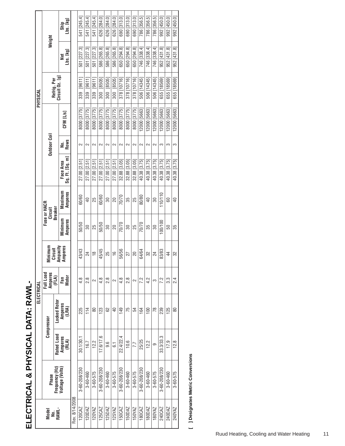|            | Weight                                    |                     | Lbs. [kg]<br>Ship            |                | 541 [245.4]   | 541 [245.4]     | 541 [245.4]             | 626 [284.0]  | 626 [284.0]               | 626 [284.0]     | 690 [313.0]    | 690 [313.0]  | 690 [313.0]    | 786 [356.5]  | 786 [356.5]     | 786 [356.5]    | 992 [450.0]  | 992 [450.0]  | 992 [450.0]    |
|------------|-------------------------------------------|---------------------|------------------------------|----------------|---------------|-----------------|-------------------------|--------------|---------------------------|-----------------|----------------|--------------|----------------|--------------|-----------------|----------------|--------------|--------------|----------------|
|            |                                           |                     | Lbs. [kg]<br>Jet             |                | 501 [227.3]   | 501 [227.3]     | 501 [227.3]             | 586 [265.8]  | 586 [265.8]               | 586 [265.8]     | 650 [294.8]    | 650 294.8    | 650 [294.8]    | 746 [338.4]  | 746 [338.4]     | 746 [338.4]    | 952 [431.8]  | 952 [431.8]  | 952 [431.8]    |
| PHYSICAL   | $Circuit$ $Oz$ . $[g]$<br>Refrig. Per     |                     |                              |                | [9611]<br>339 | 339 [9611]      | 339 [9611               | 300 [8505]   | [8505]<br>$\frac{300}{2}$ | 300 [8505]      | 378 [10716]    | 378 [10716]  | 378 [10716]    | 506 [14345]  | 506 [14345]     | 506 [14345]    | 655 [18569]  | 655 [18569]  | 655 [18569]    |
|            |                                           |                     | CFM <sub>L/S</sub>           |                | 8000 [3775]   | 8000 [3775]     | 8000 [3775]             | 8000 [3775]  | 8000 [3775]               | 8000 [3775]     | 8000 [3775]    | 8000 [3775]  | 8000 [3775]    | 2000 [5663]  | 12000 [5663]    | 2000 [5663]    | 12000 [5663] | 2000 [5663]  | 12000 [5663]   |
|            | <b>Dutdoor Coil</b>                       |                     | <b>Rows</b><br>,<br>2        |                | $\sim$        | 2               | $\sim$                  | 2            | $\sim$                    | 2               | $\sim$         | 2            | $\sim$         | 2            | $\sim$          | $\sim$         | 3            | က            | S              |
|            |                                           |                     | Sq. Ft. [Sq. m]<br>Face Area |                | 27.00 [2.51]  | 27.00 2.51      | 27.00 2.51              | 27.00 2.51   | 27.00 [2.51               | 27.00 [2.51]    | $32.88$ [3.05] | 32.88 [3.05] | 32.88 [3.05]   | 40.38 [3.75] | 40.38 [3.75]    | 40.38 [3.75]   | 40.38 [3.75] | 40.38 [3.75] | 40.38 [3.75]   |
|            | Fuse or HACR<br>Circuil                   | <b>Breaker</b>      | Maximum<br><b>Amperes</b>    |                | 60/60         | $\overline{40}$ | 25                      | 60/60        | 30                        | 20              | 70/70          | 35           | 25             | 80/80        | $\overline{40}$ | 30             | 110/110      | 80           | $\overline{P}$ |
|            |                                           |                     | Minimum<br>Amperes           |                | 50/50         | 80              | 25                      | 50/50        | 80                        | 20              | 70770          | 80           | 25             | 7070         | 35              | 80             | 100/100      | 50           | 55             |
|            | Ampacity<br>Minimum<br>Amperes<br>Circuit |                     |                              |                | 43/43         | 24              | $\frac{\infty}{\infty}$ | 45/45        | 25                        | $\frac{6}{1}$   | 56/56          | 27           | 20             | 64/64        | 32              | 24             | 83/83        | 4            | 32             |
| ELECTRICAL | Full Load<br>Amperes<br>(FLA)             |                     | Fan<br>Motor                 |                | 4.8           | $\frac{8}{2}$   | $\sim$                  | 4.8          | 2.8                       | 2               | 4.8            | 8.G          | $\sim$         | 7.2          | 4.2             | က              | 7.2          | 33           | 2.4            |
|            | Compressor                                | <b>Locked Rotor</b> | Amperes<br>(LRA)             |                | 225           | 114             | 80                      | 123          | 8                         | $\overline{40}$ | 149            | 75           | 54             | 164          | 100             | $\frac{8}{18}$ | 239          | 125          | 80             |
|            |                                           | Rated Load          | Amperes<br>(RLA)             |                | 30.1/30.1     | 16.7            | 12.2                    | 17.6/17.6    | 9.6                       | 51              | 22.4/22.4      | 10.6         | 7.7            | 25/25        | 12.2            | 6              | 33.3/33.3    | 17.9         | 12.8           |
|            | Phase                                     | Frequency (Hz       | Voltage (Volts)              |                | 3-60-208/230  | 3-60-460        | $3 - 60 - 575$          | 3-60-208/230 | 3-60-460                  | $3 - 60 - 575$  | 3-60-208/230   | 3-60-460     | $3 - 60 - 575$ | 3-60-208/230 | 3-60-460        | $3 - 60 - 575$ | 3-60-208/230 | 3-60-460     | 3-60-575       |
|            | Model<br>No.<br>Rawl-                     |                     |                              | Rev. 8/14/2008 | 120CAZ        | 120DAZ          | 120YAZ                  | 125CAZ       | 125DAZ                    | 125YAZ          | <b>50CAZ</b>   | 150DAZ       | 150YAZ         | 180CAZ       | 180DAZ          | 180YAZ         | 240CAZ       | 240DAZ       | 240YAZ         |

[ ] Designates Metric Conversions **[ ] Designates Metric Conversions**

# ELECTRICAL & PHYSICAL DATA: RAWL-**ELECTRICAL & PHYSICAL DATA: RAWL-**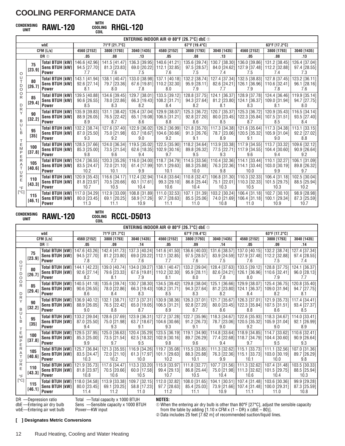# **WITH CONDENSING COOLING UNIT RAWL-120**

**COIL RHGL-120**

|                           | ENTERING INDOOR AIR @ 80°F [26.7°C] dbe $\odot$ |                                                                                                 |                     |                                                                                                                                                 |                |                                                               |                     |             |                                                       |               |                                                               |  |  |
|---------------------------|-------------------------------------------------|-------------------------------------------------------------------------------------------------|---------------------|-------------------------------------------------------------------------------------------------------------------------------------------------|----------------|---------------------------------------------------------------|---------------------|-------------|-------------------------------------------------------|---------------|---------------------------------------------------------------|--|--|
|                           |                                                 | wbE                                                                                             |                     | 71°F [21.7°C]                                                                                                                                   |                |                                                               | 67°F [19.4°C]       |             |                                                       | 63°F [17.2°C] |                                                               |  |  |
|                           |                                                 | CFM [L/s]                                                                                       | 4560 [2152]         | 3800 [1793]                                                                                                                                     | 3040 [1435]    | 4580 [2152]                                                   | 3800 [1793]         | 3040 [1435] | 4560 [2152]                                           | 3800 [1793]   | 3040 [1435]                                                   |  |  |
|                           |                                                 | DR <sub>10</sub>                                                                                | .05                 | .08                                                                                                                                             | .13            | .05                                                           | .08                 | .13         | .05                                                   | .08           | .13                                                           |  |  |
|                           | 75                                              | <b>Total BTUH [kW]  </b>                                                                        | 146.6 [42.96]       | 141.5 [41.47]                                                                                                                                   |                | 136.3 [39.95] 140.6 [41.21] 135.6 [39.74]                     |                     |             | 130.7 [38.30] 136.0 [39.86]                           |               | 131.2 [38.45]   126.4 [37.04]                                 |  |  |
|                           | [23.9]                                          | <b>Sens BTUH [kW]</b>                                                                           | 94.5 [27.70]        | 81.3 [23.83]                                                                                                                                    |                | 69.0 [20.22] 112.1 [32.85]                                    | 97.5 [28.57]        |             | 84.0 [24.62] 127.9 [37.48] 112.2 [32.88]              |               | 97.4 [28.55]                                                  |  |  |
| O                         |                                                 | <b>Power</b>                                                                                    | 7.7                 | 7.6                                                                                                                                             | 7.5            | 7.6                                                           | 7.5                 | 7.4         | 7.5                                                   | 7.4           | 7.3                                                           |  |  |
| U                         | 80                                              | <b>Total BTUH [kW]  </b>                                                                        | 143.1 [41.94]       |                                                                                                                                                 |                | 138.1 [40.47]   133.0 [38.98]   137.1 [40.18]   132.2 [38.74] |                     |             |                                                       |               | 127.4 [37.34]   132.5 [38.83]   127.8 [37.45]   123.2 [36.11] |  |  |
| D                         | [26.7]                                          | Sens BTUH [kW]                                                                                  | $92.6$ [27.14]      | 79.7 [23.36]                                                                                                                                    |                | 67.6 [19.81]   110.2 [32.30]                                  | $95.9$ [28.11]      |             | 82.6 [24.21]   126.1 [36.96]   110.6 [32.41]          |               | $96.1$ [28.16]                                                |  |  |
| O<br>O                    |                                                 | <b>Power</b>                                                                                    | 8.1                 | 8.0                                                                                                                                             | 7.8            | 8.0                                                           | 7.9                 | 7.7         | 7.9                                                   | 7.8           | 7.6                                                           |  |  |
| R                         | 85                                              | <b>Total BTUH [kW]</b>                                                                          | 139.5 [40.88]       | 134.6 [39.45]                                                                                                                                   |                | 129.7 [38.01] 133.5 [39.12]                                   | 128.8 [37.75]       |             | 124.1 [36.37] 128.9 [37.78] 124.4 [36.46]             |               | 119.9 [35.14]                                                 |  |  |
|                           | [29.4]                                          | Sens BTUH [kW]                                                                                  | $90.6$ [26.55]      | 78.0 [22.86]                                                                                                                                    |                | 66.3 [19.43] 108.2 [31.71]                                    | 94.3 [27.64]        |             | 81.2 [23.80] 124.1 [36.37] 109.0 [31.94]              |               | 94.7 [27.75]                                                  |  |  |
| D<br>R                    |                                                 | <b>Power</b>                                                                                    | 8.5                 | 8.3                                                                                                                                             | 8.2            | 8.4                                                           | 8.2                 | 8.1         | 8.3                                                   | 8.1           | 8.0                                                           |  |  |
| Υ                         | 90                                              | <b>Total BTUH [kW]</b>                                                                          | 135.9 [39.83]       |                                                                                                                                                 |                | 131.1 [38.42]   126.4 [37.04]   129.9 [38.07]                 | 125.3 [36.72]       |             |                                                       |               | 120.7 [35.37] 125.3 [36.72] 120.9 [35.43] 116.5 [34.14] 1     |  |  |
| B                         | [32.2]                                          | Sens BTUH [kW]                                                                                  | 88.9 [26.05]        | 76.5 [22.42]<br>8.7                                                                                                                             | 8.6            | 65.1 [19.08]   106.5 [31.21]                                  | 92.8 [27.20]        |             | 80.0 [23.45]   122.3 [35.84]   107.5 [31.51]          |               | 93.5 [27.40]                                                  |  |  |
| U                         |                                                 | <b>Power</b>                                                                                    | 8.9                 |                                                                                                                                                 |                | 8.8                                                           | 8.6                 | 8.5         | 8.7                                                   | 8.5           | 8.4                                                           |  |  |
| B                         | 95                                              | <b>Total BTUH [kW]</b>                                                                          | 132.2 [38.74]       |                                                                                                                                                 |                | 127.6 [37.40]   122.9 [36.02]   126.2 [36.99]   121.8 [35.70] |                     |             |                                                       |               | 117.3 [34.38]   121.6 [35.64]   117.3 [34.38]   113.1 [33.15] |  |  |
|                           | [35]                                            | Sens BTUH [kW]<br><b>Power</b>                                                                  | 87.0 [25.50]<br>9.3 | 75.0 [21.98]<br>9.2                                                                                                                             | 9 <sub>0</sub> | 63.7 [18.67]   104.6 [30.66]  <br>9.2                         | 91.3 [26.76]<br>9.1 | 8.9         | 78.7 [23.06]   120.5 [35.32]   105.9 [31.04]  <br>9.1 | 9.0           | $92.2$ [27.02]<br>8.8                                         |  |  |
|                           |                                                 | <b>Total BTUH [kW]</b>                                                                          |                     |                                                                                                                                                 |                |                                                               |                     |             |                                                       |               |                                                               |  |  |
| Ε<br>M                    | 100                                             | <b>Sens BTUH [kW]</b>                                                                           | 85.3 [25.00]        | 122.5 [37.66] 124.0 [36.34] 119.5 [35.02] 122.5 [35.90] 118.2 [34.64] 113.9 [33.38] 117.9 [34.55] 113.7 [33.32] 109.6 [32.12] 1<br>73.5 [21.54] |                | 62.6 [18.35] 102.9 [30.16]                                    | 89.8 [26.32]        |             | 77.5 [22.71]   117.9 [34.55]   104.4 [30.60]          |               | $90.9$ [26.64]                                                |  |  |
| P                         | [37.8]                                          | <b>Power</b>                                                                                    | 9.8                 | 9.6                                                                                                                                             | 9.4            | 9.7                                                           | 9.5                 | 9.3         | 9.6                                                   | 9.4           | 9.2                                                           |  |  |
| Е<br>R                    |                                                 | <b>Total BTUH [kW]</b>                                                                          | 124.7 [36.55]       |                                                                                                                                                 |                | 120.3 [35.26]   116.0 [34.00]   118.7 [34.79]   114.5 [33.56] |                     |             | 110.4 [32.36] 114.1 [33.44] 110.1 [32.27]             |               | 106.1 [31.09]                                                 |  |  |
|                           | 105                                             | Sens BTUH [kW]                                                                                  | 83.5 [24.47]        | 72.0 [21.10]                                                                                                                                    |                | 61.4 [17.99] 101.1 [29.63]                                    | 88.3 [25.88]        |             | 76.3 [22.36] 114.1 [33.44] 103.0 [30.19]              |               | 89.8 [26.32]                                                  |  |  |
| U                         | [40.6]                                          | <b>Power</b>                                                                                    | 10.2                | 10.1                                                                                                                                            | 9.9            | 10.1                                                          | 10.0                | 9.8         | 10.0                                                  | 9.9           | 9.7                                                           |  |  |
| R                         |                                                 | <b>Total BTUH [kW]</b>                                                                          | 120.9 [35.43]       |                                                                                                                                                 |                | 116.6 [34.17]   112.4 [32.94]   114.8 [33.64]   110.8 [32.47] |                     |             |                                                       |               | 106.8 [31.30] 110.3 [32.33] 106.4 [31.18] 102.5 [30.04]       |  |  |
| E                         | 110                                             | Sens BTUH [kW]                                                                                  | 81.8 [23.97]        | 70.5 [20.66]                                                                                                                                    | 60.1 [17.61]   | 99.3 [29.10]                                                  | 86.8 [25.44]        |             | 75.1 [22.01] 110.3 [32.33] 101.5 [29.75]              |               | 88.5 [25.94]                                                  |  |  |
| $\circ$ F                 | [43.3]                                          | <b>Power</b>                                                                                    | 10.7                | 10.5                                                                                                                                            | 10.4           | 10.6                                                          | 10.4                | 10.3        | 10.5                                                  | 10.3          | 10.2                                                          |  |  |
| $\lceil{^{\circ}C}\rceil$ |                                                 | Total BTUH [kW]   117.0 [34.29]   112.9 [33.09]   108.8 [31.89]   111.0 [32.53]   107.1 [31.39] |                     |                                                                                                                                                 |                |                                                               |                     |             | 103.2 [30.24] 106.4 [31.18] 102.7 [30.10]             |               | 98.9 [28.98]                                                  |  |  |
|                           | 115                                             | Sens BTUH [kW]                                                                                  | $80.0$ [23.45]      | $69.1$ [20.25]                                                                                                                                  | 58.9 [17.26]   | 97.7 [28.63]                                                  | 85.5 [25.06]        |             | 74.0 [21.69] 106.4 [31.18] 100.1 [29.34]              |               | 87.3 [25.59]                                                  |  |  |
|                           | [46.1]                                          | <b>Power</b>                                                                                    | 11.3                | 11.1                                                                                                                                            | 10.9           | 11.1                                                          | 11.0                | 10.8        | 11.0                                                  | 10.9          | 10.7                                                          |  |  |

**WITH CONDENSING COOLING UNIT RAWL-120**

**COLL RCCL-D5013** 

|                                                         | ENTERING INDOOR AIR @ 80°F [26.7°C] dbe $\odot$ |                                                                   |                                         |                                                     |                                                                       |                                                                                                      |                                        |                                    |                                                                                       |                                        |                                        |
|---------------------------------------------------------|-------------------------------------------------|-------------------------------------------------------------------|-----------------------------------------|-----------------------------------------------------|-----------------------------------------------------------------------|------------------------------------------------------------------------------------------------------|----------------------------------------|------------------------------------|---------------------------------------------------------------------------------------|----------------------------------------|----------------------------------------|
|                                                         |                                                 | wbE                                                               |                                         | 71°F [21.7°C]                                       |                                                                       |                                                                                                      | 67°F [19.4°C]                          |                                    |                                                                                       | 63°F [17.2°C]                          |                                        |
|                                                         |                                                 | CFM [L/s]                                                         | 4560 [2152]                             | 3800 [1793]                                         | 3040 [1435]                                                           | 4560 [2152]                                                                                          | 3800 [1793]                            | 3040 [1435]                        | 4560 [2152]                                                                           | 3800 [1793]                            | 3040 [1435]                            |
|                                                         |                                                 | DR <sup>1</sup>                                                   | .05                                     | .09                                                 | .14                                                                   | .05                                                                                                  | .09                                    | .14                                | .05                                                                                   | .09                                    | .14                                    |
| O                                                       | 75<br>[23.9]                                    | <b>Total BTUH [kW]  </b><br><b>Sens BTUH [kW]</b><br><b>Power</b> | 147.6 [43.26]<br>94.5 [27.70]<br>7.8    | 81.2 [23.80]<br>7.7                                 | 7.6                                                                   | 142.4 [41.73]   137.3 [40.24]   141.6 [41.50]   136.6 [40.03]<br>69.0 [20.22] 112.1 [32.85]<br>7.7   | 97.5 [28.57]<br>7.6                    | 7.5                                | 131.6 [38.57] 137.0 [40.15]<br>83.9 [24.59] 127.9 [37.48]  <br>7.6                    | 132.2 [38.74]<br>112.2 [32.88]<br>7.5  | 127.4 [37.34]<br>97.4 [28.55]<br>7.4   |
| U<br>T<br>D<br>$\circ$                                  | 80<br>[26.7]                                    | <b>Total BTUH [kW]</b><br><b>Sens BTUH [kW]</b><br><b>Power</b>   | 144.1 [42.23]<br>$92.6$ [27.14]<br>8.2  | 79.6 [23.33]<br>8.1                                 | 7.9                                                                   | 139.0 [40.74]   134.0 [39.27]   138.1 [40.47]  <br>67.6 [19.81] 110.2 [32.30]<br>8.1                 | 133.2 [39.04]<br>$95.9$ [28.11]<br>8.0 | 7.8                                | 128.4 [37.63] 133.5 [39.12]<br>82.6 [24.21] 126.1 [36.96]<br>8.0                      | 128.8 [37.75]<br>110.6 [32.41]<br>7.9  | 124.1 [36.37]<br>96.0 [28.13]<br>77    |
| O<br>R<br>D                                             | 85<br>[29.4]                                    | Total BTUH [kW]<br><b>Sens BTUH [kW]</b><br><b>Power</b>          | 140.5 [41.18]<br>90.6 [26.55]<br>8.6    | 78.0 [22.86]<br>8.4                                 | 135.6 [39.74]   130.7 [38.30]  <br>8.3                                | 134.5 [39.42]<br>66.3 [19.43] 108.2 [31.71]<br>8.5                                                   | 129.8 [38.04]<br>94.3 [27.64]<br>8.3   | 8.2                                | 125.1 [36.66] 129.9 [38.07]<br>81.2 [23.80] 124.1 [36.37]<br>8.4                      | 125.4 [36.75]<br>109.0 [31.94]<br>8.2  | 120.8 [35.40]<br>94.7 [27.75]<br>8.1   |
| R<br>Y<br>B<br>U                                        | 90<br>[32.2]                                    | <b>Total BTUH [kW]</b><br><b>Sens BTUH [kW]</b><br><b>Power</b>   | 136.9 [40.12]<br>88.9 [26.05]<br>9.0    | 132.1 [38.71]<br>76.5 [22.42]<br>8.8                | 8.7                                                                   | 127.3 [37.31]   130.9 [38.36]  <br>65.0 [19.05] 106.5 [31.21]<br>8.9                                 | 126.3 [37.01]<br>$92.8$ [27.20]<br>8.7 | 121.7 [35.67] 126.3 [37.01]<br>8.6 | 80.0 [23.45]   122.3 [35.84]   107.5 [31.51]  <br>8.8                                 | 121.9 [35.73]<br>8.6                   | 117.4 [34.41]<br>93.4 [27.37]<br>8.5   |
| B<br>Т                                                  | 95<br>$[35]$                                    | <b>Total BTUH [kW]</b><br><b>Sens BTUH [kW]</b><br><b>Power</b>   | 133.2 [39.04]<br>87.0 [25.50]<br>9.4    | 75.0 [21.98]<br>9.3                                 | 9.1                                                                   | 128.6 [37.69]   123.9 [36.31]   127.2 [37.28]  <br>63.7 [18.67] 104.6 [30.66]<br>9.3                 | 122.7 [35.96]<br>91.2 [26.73]<br>9.1   | 9.0                                | 118.3 [34.67] 122.6 [35.93]<br>78.7 [23.06]   120.5 [35.32]  <br>9.2                  | 118.3 [34.67]<br>105.9 [31.04]<br>9.0  | 114.0 [33.41]<br>92.1 [26.99]<br>8.9   |
| $\frac{E}{M}$<br>P                                      | 100<br>[37.8]                                   | <b>Total BTUH [kW]</b><br><b>Sens BTUH [kW]</b><br><b>Power</b>   | 129.5 [37.95]<br>85.3 [25.00]<br>9.9    | 73.5 [21.54]<br>9.7                                 | 9.5                                                                   | 125.0 [36.63]   120.4 [35.29]   123.5 [36.19]   119.1 [34.90]  <br>62.5 [18.32] 102.9 [30.16]<br>9.8 | 89.7 [26.29]<br>9.6                    | 9.4                                | 114.8 [33.64] 118.9 [34.85]<br>77.4 [22.68] 118.7 [34.79]<br>9.7                      | 114.7 [33.62]<br>104.4 [30.60]<br>9.5  | 110.6 [32.41]<br>$90.9$ [26.64]<br>9.3 |
| Ε<br>$\mathsf{R}$<br>A<br>T<br>U<br>R<br>E<br>$\circ$ F | 105<br>[40.6]                                   | <b>Total BTUH [kW]</b><br><b>Sens BTUH [kW]</b><br>Power          | 125.7 [36.84]<br>83.5 [24.47]<br>10.3   | 121.3 [35.55]<br>72.0 [21.10]<br>10.2               | 116.9 [34.26]<br>10.0                                                 | 119.7 [35.08]<br>61.3 [17.97] 101.1 [29.63]<br>10.2                                                  | 115.5 [33.85]<br>88.3 [25.88]<br>10.1  | 9.9                                | 111.3 [32.62] 115.1 [33.73]<br>76.3 [22.36]   115.1 [33.73]   103.0 [30.19]  <br>10.1 | 111.1 [32.56]<br>10.0                  | 107.0 [31.36]<br>89.7 [26.29]<br>9.8   |
|                                                         | 110<br>[43.3]                                   | <b>Total BTUH [kW]</b><br><b>Sens BTUH [kW]</b><br><b>Power</b>   | 121.9 [35.73]<br>81.8 [23.97]<br>10.8   | 117.6 [34.47] 113.3 [33.20]<br>70.5 [20.66]<br>10.6 | 60.0 [17.58]<br>10.5                                                  | 115.9 [33.97]<br>99.4 [29.13]<br>10.7                                                                | 111.8 [32.77]<br>86.8 [25.44]<br>10.5  | 10.4                               | 107.7 [31.56] 111.3 [32.62]<br>75.0 [21.98] 111.3 [32.62]<br>10.6                     | 107.4 [31.48]<br>101.5 [29.75]<br>10.4 | 103.5 [30.33]<br>88.5 [25.94]<br>10.3  |
| $\lceil$ °C]                                            | 115<br>[46.1]                                   | <b>Total BTUH [kW]</b><br>Sens BTUH [kW]<br><b>Power</b>          | 118.0 [34.58]<br>$80.0$ [23.45]<br>11.4 | $69.1$ [20.25]<br>11.2                              | 113.9 [33.38]   109.7 [32.15]   112.0 [32.82]<br>58.8 [17.23]<br>11.0 | 97.7 [28.63]<br>11.2                                                                                 | 108.0 [31.65]<br>85.4 [25.03]<br>11.1  | 10.9                               | 104.1 [30.51] 107.4 [31.48]<br>73.9 [21.66] 107.4 [31.48]   100.0 [29.31]  <br>11.1   | 103.6 [30.36]<br>11.0                  | 99.9 [29.28]<br>87.3 [25.59]<br>10.8   |

DR —Depression ratio

Total —Total capacity x 1000 BTUH Sens —Sensible capacity x 1000 BTUH

dbE —Entering air dry bulb wbE—Entering air wet bulb Power—KW input **NOTES:** ➀ When the entering air dry bulb is other than 80°F [27°C], adjust the sensible capacity

from the table by adding [1.10 x CFM x (1 – DR) x (dbE – 80)]. ➁ Data includes 25 feet [7.62 m] of recommended suction/liquid lines.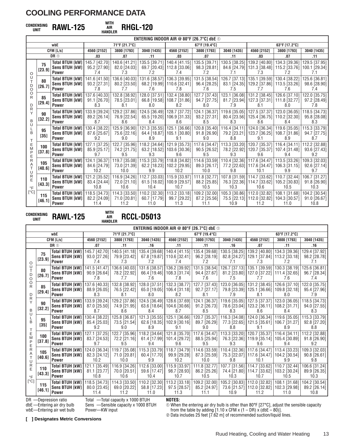# **WITH CONDENSING AIR UNIT RAWL-125**

**HANDLER RHGL-120**

|                     | ENTERING INDOOR AIR @ 80°F [26.7°C] dbe $\odot$ |                                                                            |                                      |                                       |                                                        |                                                                    |                                        |                                                                        |                                                  |                                                                                              |                                         |
|---------------------|-------------------------------------------------|----------------------------------------------------------------------------|--------------------------------------|---------------------------------------|--------------------------------------------------------|--------------------------------------------------------------------|----------------------------------------|------------------------------------------------------------------------|--------------------------------------------------|----------------------------------------------------------------------------------------------|-----------------------------------------|
|                     |                                                 | wbE                                                                        |                                      | 71°F [21.7°C]                         |                                                        |                                                                    | 67°F [19.4°C]                          |                                                                        |                                                  | 63°F [17.2°C]                                                                                |                                         |
|                     |                                                 | CFM [L/s]                                                                  | 4560 [2152]                          | 3800 [1793]                           | 3040 [1435]                                            | 4560 [2152]                                                        | 3800 [1793]                            | 3040 [1435]                                                            | 4560 [2152]                                      | 3800 [1793]                                                                                  | 3040 [1435]                             |
|                     |                                                 | DR <sub>1</sub>                                                            | .03                                  | .07                                   | .11                                                    | .03                                                                | .07                                    | .11                                                                    | .03                                              | .07                                                                                          | .11                                     |
| O                   | 75<br>[23.9]                                    | Total BTUH [kW]  <br>Sens BTUH [kW]<br><b>Power</b>                        | 145.7 [42.70]<br>95.2 [27.90]<br>7.4 | 140.6 [41.21]<br>82.0 [24.03]<br>7.3  | 7.2                                                    | 135.5 [39.71] 140.4 [41.15]<br>69.7 [20.43] 112.8 [33.06]<br>7.4   | 98.3 [28.81]<br>7.2                    | 135.5 [39.71] 130.5 [38.25] 139.2 [40.80]<br>7.1                       | 7.3                                              | 134.3 [39.36]<br>84.6 [24.79] 131.3 [38.48]   115.2 [33.76]  <br>7.2                         | 129.5 [37.95]<br>100.1 [29.34]<br>7.1   |
| U<br>D<br>O         | 80<br>[26.7]                                    | Total BTUH [kW]   141.6 [41.50]<br><b>Sens BTUH [kW]  </b><br><b>Power</b> | 93.2 [27.31]<br>7.8                  | 136.6 [40.03]<br>80.2 [23.50]<br>7.7  | 7.6                                                    | 131.6 [38.57] 136.3 [39.95]<br>68.2 [19.99] 110.6 [32.41]<br>7.8   | 96.4 [28.25]<br>7.6                    | 131.5 [38.54]   126.7 [37.13]   135.1 [39.59]   130.4 [38.22]<br>7.5   | 7.7                                              | 83.1 [24.35] 129.2 [37.86] 113.5 [33.26]<br>7.6                                              | 125.6 [36.81]<br>98.6 [28.90]<br>74     |
| O<br>R<br>D         | 85<br>[29.4]                                    | Total BTUH [kW]   137.6 [40.33]<br>Sens BTUH [kW]<br><b>Power</b>          | 91.1 [26.70]<br>8.3                  | 132.8 [38.92]<br>78.5 [23.01]<br>8.1  | 8.0                                                    | 128.0 [37.51] 132.4 [38.80]<br>66.8 [19.58]   108.7 [31.86]<br>8.2 | 127.7 [37.43]<br>$94.7$ [27.75]<br>8.0 | 7.9                                                                    | 8.1                                              | 123.1 [36.08] 131.2 [38.45] 126.6 [37.10]<br>81.7 [23.94] 127.3 [37.31] 111.8 [32.77]<br>8.0 | 122.0 [35.75]<br>97.2 [28.49]<br>7.8    |
| R<br>B<br>U         | 90<br>$[32.2]$                                  | Total BTUH [kW]<br>Sens BTUH [kW]<br><b>Power</b>                          | 133.9 [39.24]<br>89.2 [26.14]<br>8.7 | 129.2 [37.86]<br>76.9 [22.54]<br>8.6  | 8.4                                                    | 124.5 [36.49] 128.7 [37.72]<br>65.5 [19.20] 106.9 [31.33]<br>8.6   | 124.1 [36.37]<br>93.2 [27.31]<br>8.5   | 8.3                                                                    | 119.6 [35.05] 127.5 [37.37] 123.0 [36.05]<br>8.6 | 80.4 [23.56] 125.4 [36.75] 110.2 [32.30]<br>8.4                                              | 118.5 [34.73]<br>95.8 [28.08]<br>8.3    |
| B<br>т              | 95<br>$[35]$                                    | Total BTUH [kW]   130.4 [38.22]<br>Sens BTUH [kW]<br><b>Power</b>          | 87.6 [25.67]<br>9.2                  | 125.9 [36.90]<br>75.6 [22.16]<br>9.0  | 8.9                                                    | 121.3 [35.55] 125.1 [36.66]<br>64.4 [18.87] 105.1 [30.80]<br>9.1   | $91.8$ [26.90]<br>9.0                  | 120.8 [35.40]   116.4 [34.11]   124.0 [36.34]   119.6 [35.05]<br>8.8   | 9.1                                              | 79.2 [23.21] 123.7 [36.25] 108.7 [31.86]<br>8.9                                              | 115.3 [33.79]<br>94.7 [27.75]<br>8.7    |
| Ε<br>M<br>P<br>Ε    | 100<br>[37.8]                                   | Total BTUH [kW]   127.1 [37.25]<br><b>Sens BTUH [kW]</b><br>Power          | 85.9 [25.17]<br>9.7                  | 74.2 [21.75]<br>9.5                   | 122.7 [35.96]   118.2 [34.64]   121.9 [35.73]  <br>9.3 | 63.2 [18.52] 103.6 [30.36]<br>9.6                                  | $90.5$ [26.52]<br>9.5                  | 117.6 [34.47]   113.3 [33.20]   120.7 [35.37]   116.4 [34.11]  <br>9.3 | 9.6                                              | 78.2 [22.92] 120.7 [35.37] 107.4 [31.48]<br>9.4                                              | 112.2 [32.88]<br>93.6 [27.43]<br>9.2    |
| R<br>Α<br>U         | 105<br>[40.6]                                   | Total BTUH [kW1 124.1 [36.37]<br><b>Sens BTUH [kW]  </b><br>Power          | 84.6 [24.79]<br>10.2                 | 119.7 [35.08]<br>73.0 [21.39]<br>10.0 | 9.9                                                    | 115.3 [33.79] 118.8 [34.82]<br>62.2 [18.23] 102.2 [29.95]<br>10.2  | 89.3 [26.17]<br>10.0                   | 114.6 [33.59]   110.4 [32.36]   117.6 [34.47]   113.5 [33.26]<br>9.8   | 10.1                                             | 77.2 [22.63] 117.6 [34.47] 106.3 [31.15]<br>9.9                                              | 109.3 [32.03]<br>$92.6$ [27.14]<br>9.7  |
| R<br>F<br>$\circ$ F | 110<br>[43.3]                                   | Total BTUH [kW]   121.2 [35.52]<br>Sens BTUH [kW]<br>Power                 | 83.4 [24.44]<br>10.8                 | 72.0 [21.10]<br>10.6                  | 116.9 [34.26] 112.7 [33.03] 115.9 [33.97]<br>10.4      | 61.5 [18.02] 100.9 [29.57]<br>10.7                                 | 88.2 [25.85]<br>10.5                   | 111.8 [32.77]   107.8 [31.59]   114.7 [33.62]   110.7 [32.44]<br>10.3  | 10.6                                             | 76.3 [22.36] 114.7 [33.62] 105.2 [30.83]<br>10.5                                             | 106.7 [31.27]<br>$91.8$ [26.90]<br>10.3 |
| [°C]                | 115<br>[46.1]                                   | <b>Total BTUH [kW]   118.5 [34.73]</b><br>Sens BTUH [kW]<br><b>Power</b>   | 82.2 [24.09]<br>11.4                 | 114.3 [33.50]<br>71.0 [20.81]<br>11.2 | $60.7$ [17.79]<br>11.0                                 | 110.2 [32.30] 113.2 [33.18]<br>99.7 [29.22]<br>11.3                | $87.2$ [25.56]<br>11.1                 | 109.2 [32.00]   105.3 [30.86]   112.0 [32.82]<br>10.9                  | 11.2                                             | 108.1 [31.68]<br>75.5 [22.13] 112.0 [32.82] 104.3 [30.57]<br>11.0                            | 104.2 [30.54]<br>91.0 [26.67]<br>10.8   |

**WITH CONDENSING AIR UNIT RAWL-125 HANDLER**

# **RCCL-D5013**

|                              | ENTERING INDOOR AIR @ 80°F [26.7°C] dbe $\odot$ |                                                                   |                                       |                                                         |                                                     |                                                                   |                                           |             |                                                                    |                                                                                      |                                             |
|------------------------------|-------------------------------------------------|-------------------------------------------------------------------|---------------------------------------|---------------------------------------------------------|-----------------------------------------------------|-------------------------------------------------------------------|-------------------------------------------|-------------|--------------------------------------------------------------------|--------------------------------------------------------------------------------------|---------------------------------------------|
|                              |                                                 | wbE                                                               |                                       | 71°F [21.7°C]                                           |                                                     |                                                                   | 67°F [19.4°C]                             |             |                                                                    | 63°F [17.2°C]                                                                        |                                             |
|                              |                                                 | CFM [L/s]                                                         | 4560 [2152]                           | 3800 [1793]                                             | 3040 [1435]                                         | 4560 [2152]                                                       | 3800 [1793]                               | 3040 [1435] | 4560 [2152]                                                        | 3800 [1793]                                                                          | 3040 [1435]                                 |
|                              |                                                 | DR <sub>①</sub>                                                   | .07                                   | .11                                                     | .16                                                 | .11                                                               | .11                                       | .16         | .07                                                                | .11                                                                                  | .16                                         |
|                              | 75<br>[23.9]                                    | <b>Total BTUH [kW]</b><br><b>Sens BTUH [kW]</b>                   | 145.7 [42.70]<br>93.0 [27.26]         | 140.5 [41.18]<br>79.9 [23.42]                           |                                                     | 135.4 [39.68] 140.4 [41.15]<br>67.8 [19.87] 110.6 [32.41]         | 135.4 [39.68]<br>96.2 [28.19]             |             | 130.5 [38.25] 139.2 [40.80]<br>82.8 [24.27] 129.1 [37.84]          | 113.2 [33.18]                                                                        | 134.3 [39.36] 129.4 [37.92]<br>98.2 [28.78] |
| O                            |                                                 | Power                                                             | 7.4                                   | 7.3                                                     | 7.2                                                 | 7.4                                                               | 7.2                                       | 7.1         | 7.3                                                                | 7.2                                                                                  | 7.1                                         |
| U<br>D<br>$\circ$            | 80<br>[26.7]                                    | <b>Total BTUH [kW]</b><br><b>Sens BTUH [kW]</b><br><b>Power</b>   | 141.5 [41.47]<br>90.9 [26.64]<br>7.8  | 136.6 [40.03]<br>78.2 [22.92]<br>77                     | 7.6                                                 | 131.6 [38.57] 136.2 [39.92]<br>66.4 [19.46] 108.3 [31.74]<br>7.8  | 131.5 [38.54]<br>94.4 [27.67]<br>7.6      | 7.5         | 126.7 [37.13] 135.1 [39.59]<br>81.2 [23.80] 127.0 [37.22]  <br>7.7 | 130.3 [38.19]<br>111.4 [32.65]<br>7.6                                                | 125.6 [36.81]<br>96.7 [28.34]<br>7.4        |
| O<br>R<br>D                  | 85<br>[29.4]                                    | <b>Total BTUH [kW]</b><br><b>Sens BTUH [kW]</b><br><b>Power</b>   | 137.6 [40.33]<br>88.9 [26.05]<br>8.3  | 132.8 [38.92]<br>76.5 [22.42]<br>8.1                    | 8.0                                                 | 128.0 [37.51] 132.3 [38.77]<br>65.0 [19.05] 106.4 [31.18]<br>8.2  | 127.7 [37.43]<br>92.7 [27.17]<br>8.1      | 7.9         | 123.0 [36.05] 131.2 [38.45]<br>79.8 [23.39] 125.1 [36.66]<br>8.1   | 126.6 [37.10]<br>109.8 [32.18]<br>8.0                                                | 122.0 [35.75]<br>95.4 [27.96]<br>7.9        |
| $R_{Y}$<br>B<br>U            | 90<br>[32.2]                                    | <b>Total BTUH [kW]</b><br><b>Sens BTUH [kW]</b><br>Power          | 133.9 [39.24]<br>87.0 [25.50]<br>8.7  | 129.2 [37.86]<br>74.9 [21.95]<br>8.6                    | 8.4                                                 | 124.5 [36.49] 128.6 [37.69]<br>63.6 [18.64] [104.6 [30.66]<br>8.7 | 124.1 [36.37]<br>$91.2$ [26.73]<br>8.5    | 8.3         | 119.6 [35.05] 127.5 [37.37]<br>8.6                                 | 123.0 [36.05]<br>78.6 [23.04]   123.2 [36.11]   108.2 [31.71]  <br>8.4               | 118.5 [34.73]<br>$94.0$ [27.55]<br>8.3      |
| B<br>Т                       | 95<br>$[35]$                                    | <b>Total BTUH [kW]</b><br><b>Sens BTUH [kW]</b><br><b>Power</b>   | 130.4 [38.22]<br>85.4 [25.03]<br>9.2  | 125.8 [36.87]<br>73.5 [21.54]<br>9.0                    | 8.9                                                 | 121.3 [35.55] 125.1 [36.66]<br>62.6 [18.35] 102.9 [30.16]<br>9.1  | 120.7 [35.37]<br>89.7 [26.29]<br>9.0      | 8.8         | 116.3 [34.08] 124.0 [36.34]<br>9.1                                 | 119.6 [35.05] 115.3 [33.79]<br>77.3 [22.65] 121.5 [35.61]   106.7 [31.27]<br>8.9     | $92.8$ [27.20]<br>8.8                       |
| Ε<br>M<br>P                  | 100<br>[37.8]                                   | <b>Total BTUH [kW]  </b><br><b>Sens BTUH [kW]</b><br><b>Power</b> | 83.7 [24.53]<br>9.7                   | 127.1 [37.25]   122.7 [35.96]  <br>72.2 [21.16]<br>9.5  | 118.2 [34.64] 121.8 [35.70]<br>9.4                  | 61.4 [17.99] 101.4 [29.72]<br>9.6                                 | 117.6 [34.47]<br>88.5 [25.94]<br>9.5      | 9.3         | 113.3 [33.20] 120.7 [35.37]<br>9.6                                 | 116.4 [34.11]   112.2 [32.88]<br>76.3 [22.36] 119.9 [35.14]   105.4 [30.89]  <br>9.4 | $91.8$ [26.90]<br>9.2                       |
| $\frac{E}{R}$<br>A<br>T<br>U | 105<br>[40.6]                                   | <b>Total BTUH [kW]</b><br><b>Sens BTUH [kW]</b><br><b>Power</b>   | 124.0 [36.34]<br>82.3 [24.12]<br>10.2 | 119.7 [35.08]<br>71.0 [20.81]<br>10.0                   | 115.3 [33.79] 118.7 [34.79]<br>60.4 [17.70]<br>9.9  | 99.9 [29.28]<br>10.2                                              | 114.6 [33.59]<br>$87.3$ [25.59]<br>10.0   | 9.8         | 110.4 [32.36] 117.6 [34.47]<br>10.1                                | 113.4 [33.23]<br>75.3 [22.07] 117.6 [34.47]   104.2 [30.54]  <br>9.9                 | 109.3 [32.03]<br>$90.8$ [26.61]<br>9.8      |
| R<br>E<br>$\circ$ F          | 110<br>[43.3]                                   | <b>Total BTUH [kW]</b><br><b>Sens BTUH [kW]</b><br>Power          | 81.1 [23.77]<br>10.8                  | 121.1 [35.49]   116.9 [34.26]  <br>70.0 [20.51]<br>10.6 | 112.6 [33.00] 115.9 [33.97]<br>59.6 [17.47]<br>10.4 | 98.7 [28.93]<br>10.7                                              | 111.8 $[32.77]$<br>$86.2$ [25.26]<br>10.5 | 10.3        | 107.7 [31.56] 114.7 [33.62]<br>10.7                                | 110.7 [32.44]<br>74.4 [21.80]   114.7 [33.62]   103.2 [30.24]  <br>10.5              | 106.6 [31.24]<br>89.9 [26.35]<br>10.3       |
| $\lceil{^{\circ}C}\rceil$    | 115<br>[46.1]                                   | <b>Total BTUH [kW]</b><br>Sens BTUH [kW]<br>Power                 | 80.0 [23.45]<br>11.4                  | 118.5 [34.73]   114.3 [33.50]  <br>69.0 [20.22]<br>11.2 | 110.2 [32.30] 113.2 [33.18]<br>58.8 [17.23]<br>11.0 | 97.5 [28.57]<br>11.3                                              | 85.2 [24.97]<br>11.1                      | 10.9        | 109.2 [32.00]   105.2 [30.83]   112.0 [32.82]  <br>11.2            | 108.1 [31.68]<br>73.6 [21.57] 112.0 [32.82] 102.3 [29.98]<br>11.0                    | 104.2 [30.54]<br>89.2 [26.14]<br>10.8       |

DR —Depression ratio dbE —Entering air dry bulb

wbE—Entering air wet bulb

Total —Total capacity x 1000 BTUH Sens —Sensible capacity x 1000 BTUH

Power—KW input

### **NOTES:**

➀ When the entering air dry bulb is other than 80°F [27°C], adjust the sensible capacity from the table by adding  $[1.10 \times \text{CFM} \times (1 - \text{DR}) \times (\text{dbE} - 80)].$ ➁ Data includes 25 feet [7.62 m] of recommended suction/liquid lines.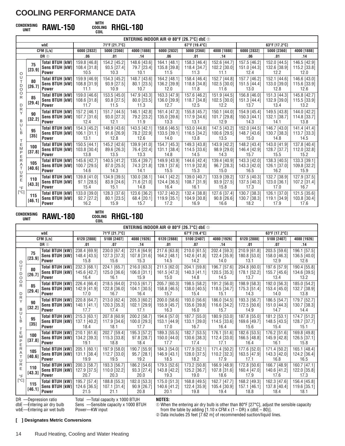# **WITH CONDENSING COOLING UNIT RAWL-150**

**COIL RHGL-180**

|                                      | ENTERING INDOOR AIR @ 80°F [26.7°C] dbe $\odot$ |                                                                 |                                      |                                       |                                     |                                        |                                      |                                      |                                      |                                      |                                      |
|--------------------------------------|-------------------------------------------------|-----------------------------------------------------------------|--------------------------------------|---------------------------------------|-------------------------------------|----------------------------------------|--------------------------------------|--------------------------------------|--------------------------------------|--------------------------------------|--------------------------------------|
|                                      |                                                 | wbE                                                             |                                      | 71°F [21.7°C]                         |                                     |                                        | 67°F [19.4°C]                        |                                      |                                      | 63°F [17.2°C]                        |                                      |
|                                      |                                                 | CFM [L/s]                                                       | 6000 [2832]                          | 5000 [2360]                           | 4000 [1888]                         | 6000 [2832]                            | 5000 [2360]                          | 4000 [1888]                          | 6000 [2832]                          | 5000 [2360]                          | 4000 [1888]                          |
|                                      |                                                 | DR <sub>10</sub>                                                | .06                                  | .01                                   | .14                                 | .06                                    | .01                                  | .14                                  | .06                                  | .01                                  | .14                                  |
|                                      | 75<br>[23.9]                                    | <b>Total BTUH [kW]</b><br>Sens BTUH [kW]                        | 159.8 [46.8]<br>108.4 [31.8]         | 154.2 [45.2]<br>93.5 [27.4]           | 148.6 [43.6]<br>79.7 [23.4]         | 164.1 [48.1]<br>135.8 [39.8]           | 158.3 [46.4]<br>118.4 [34.7]         | 152.6 [44.7]<br>102.2 [30.0]         | 157.5 [46.2]<br>151.0 [44.3]         | 152.0 [44.5]<br>132.6 [38.9]         | 146.5 [42.9]<br>115.2 [33.8]         |
| $\circ$                              |                                                 | <b>Power</b>                                                    | 10.5                                 | 10.3                                  | 10.1                                | 11.5                                   | 11.3                                 | 11.1                                 | 12.4                                 | 12.2                                 | 12.0                                 |
| U<br>Т<br>$_{\circ}^{\text{D}}$<br>O | 80<br>[26.7]                                    | <b>Total BTUH [kW]</b><br><b>Sens BTUH [kW]</b><br><b>Power</b> | 159.9 [46.9]<br>108.8 [31.9]<br>11.1 | 154.3 [45.2]<br>93.9 [27.5]<br>10.9   | 148.7 [43.6]<br>80.1 [23.5]<br>10.7 | 164.2 [48.1]<br>136.2 [39.9]<br>12.0   | 158.4 [46.4]<br>118.8 [34.8]<br>11.8 | 152.7 [44.8]<br>102.5 [30.0]<br>11.6 | 157.7 [46.2]<br>151.5 [44.4]<br>13.0 | 152.1 [44.6]<br>133.0 [39.0]<br>12.8 | 146.6 [43.0]<br>115.6 [33.9]<br>12.6 |
| R<br>D                               | 85<br>[29.4]                                    | <b>Total BTUH [kW]</b><br><b>Sens BTUH [kW]</b><br><b>Power</b> | 159.0 [46.6]<br>108.6 [31.8]<br>11.7 | 153.5 [45.0]<br>93.8 [27.5]<br>11.5   | 147.9 [43.3]<br>80.0 [23.5]<br>11.3 | 163.3 [47.9]<br>136.0 [39.9]<br>12.7   | 157.6 [46.2]<br>118.7 [34.8]<br>12.5 | 151.9 [44.5]<br>102.5 [30.0]<br>12.2 | 156.8 [46.0]<br>151.3 [44.4]<br>13.7 | 151.3 [44.3]<br>132.9 [39.0]<br>13.4 | 145.8 [42.7]<br>115.5 [33.9]<br>13.2 |
| R<br>Y<br>B<br>U                     | 90<br>[32.2]                                    | <b>Total BTUH [kW]</b><br>Sens BTUH [kW]<br><b>Power</b>        | 157.2 [46.1]<br>107.7 [31.6]<br>12.4 | 151.7 [44.5]<br>93.0 [27.3]<br>12.1   | 146.1 [42.8]<br>79.2 [23.2]<br>11.9 | 161.4 [47.3]<br>135.0 [39.6]<br>13.3   | 155.8 [45.7]<br>117.9 [34.6]<br>13.1 | 150.1 [44.0]<br>101.7 [29.8]<br>12.9 | 154.9 [45.4]<br>150.3 [44.1]<br>14.3 | 149.5 [43.8]<br>132.1 [38.7]<br>14.1 | 144.0 [42.2]<br>114.8 [33.7]<br>13.8 |
| B<br>Т                               | 95<br>[35]                                      | <b>Total BTUH [kW]</b><br>Sens BTUH [kW]<br><b>Power</b>        | 154.3 [45.2]<br>106.1 [31.1]<br>13.1 | 148.9 [43.6]<br>$91.6$ [26.9]<br>12.8 | 143.5 [42.1]<br>78.2 [22.9]<br>12.6 | 158.6 [46.5]<br>133.5 [39.1]<br>14.0   | 153.0 [44.8]<br>116.5 [34.2]<br>13.8 | 147.5 [43.2]<br>100.6 [29.5]<br>13.5 | 152.0 [44.5]<br>148.7 [43.6]<br>15.0 | 146.7 [43.0]<br>130.7 [38.3]<br>14.8 | 141.4 [41.4]<br>113.7 [33.3]<br>14.5 |
| Ε<br>M<br>P                          | 100<br>[37.8]                                   | <b>Total BTUH [kW]</b><br>Sens BTUH [kW]<br><b>Power</b>        | 150.5 [44.1]<br>103.8 [30.4]<br>13.8 | 145.2 [42.6]<br>89.6 [26.3]<br>13.5   | 139.9 [41.0]<br>76.4 [22.4]<br>13.3 | 154.7 [45.3]<br>131.1 [38.4]<br>14.8   | 149.3 [43.8]<br>114.5 [33.6]<br>14.5 | 143.9 [42.2]<br>98.9 [29.0]<br>14.3  | 148.2 [43.4]<br>146.4 [42.9]<br>15.7 | 143.0 [41.9]<br>128.7 [37.7]<br>15.5 | 137.8 [40.4]<br>112.0 [32.8]<br>15.2 |
| $\frac{E}{R}$<br>Α<br>T<br>U         | 105<br>[40.6]                                   | <b>Total BTUH [kW]</b><br>Sens BTUH [kW]<br><b>Power</b>        | 145.6 [42.7]<br>100.7 [29.5]<br>14.6 | 140.5 [41.2]<br>87.0 [25.5]<br>14.3   | 135.4 [39.7]<br>74.3 [21.8]<br>14.1 | 149.9 [43.9]<br>128.1 [37.6]<br>15.5   | 144.6 [42.4]<br>111.9 [32.8]<br>15.3 | 139.4 [40.9]<br>96.7 [28.3]<br>15.0  | 143.3 [42.0]<br>143.3 [42.0]<br>16.5 | 138.3 [40.5]<br>126.1 [37.0]<br>16.2 | 133.3 [39.1]<br>109.8 [32.2]<br>15.9 |
| $\mathsf{R}$<br>E<br>$\circ$ F       | 110<br>[43.3]                                   | <b>Total BTUH [kW]</b><br>Sens BTUH [kW]<br><b>Power</b>        | 139.8 [41.0]<br>97.1 [28.5]<br>15.4  | 134.9 [39.5]<br>83.9 [24.6]<br>15.1   | 130.0 [38.1]<br>71.6 [21.0]<br>14.8 | 144.1 [42.2]<br>124.4 [36.5]<br>16.4   | 139.0 [40.7]<br>108.7 [31.9]<br>16.1 | 133.9 [39.2]<br>93.9 [27.5]<br>15.8  | 137.5 [40.3]<br>137.5 [40.3]<br>17.3 | 132.7 [38.9]<br>123.0 [36.1]<br>17.0 | 127.9 [37.5]<br>107.2 [31.4]<br>16.7 |
| [°C]                                 | 115<br>[46.1]                                   | <b>Total BTUH [kW]</b><br>Sens BTUH [kW]<br><b>Power</b>        | 133.0 [39.0]<br>92.7 [27.2]<br>16.2  | 128.3 [37.6]<br>$80.1$ [23.5]<br>15.9 | 123.6 [36.2]<br>68.4 [20.1]<br>15.7 | 137.2 [40.2]<br>$119.9$ [35.1]<br>17.2 | 132.4 [38.8]<br>104.9 [30.8]<br>16.9 | 127.6 [37.4]<br>90.8 [26.6]<br>16.6  | 130.7 [38.3]<br>130.7 [38.3]<br>18.2 | 126.1 [37.0]<br>119.1 [34.9]<br>17.9 | 121.5 [35.6]<br>103.8 [30.4]<br>17.6 |

**WITH CONDENSING COOLING UNIT RAWL-180**

# **COIL RHGL-180**

|                                                                         | ENTERING INDOOR AIR @ 80°F [26.7°C] dbe $\odot$ |                                                                  |                                      |                                      |                                                  |                                        |                                      |                                      |                                        |                                      |                                      |
|-------------------------------------------------------------------------|-------------------------------------------------|------------------------------------------------------------------|--------------------------------------|--------------------------------------|--------------------------------------------------|----------------------------------------|--------------------------------------|--------------------------------------|----------------------------------------|--------------------------------------|--------------------------------------|
|                                                                         |                                                 | wbE                                                              |                                      | 71°F [21.7°C]                        |                                                  |                                        | 67°F [19.4°C]                        |                                      |                                        | 63°F [17.2°C]                        |                                      |
|                                                                         |                                                 | CFM [L/s]                                                        | 6120 [2888]                          | 5100 [2407]                          | 4080 [1926]                                      | 6120 [2888]                            | 5100 [2407]                          | 4080 [1926]                          | 6120 [2888]                            | 5100 [2407]                          | 4080 [1926]                          |
|                                                                         |                                                 | DR <sub>①</sub>                                                  | .01                                  | .07                                  | .14                                              | .01                                    | .07                                  | .14                                  | .01                                    | .07                                  | .14                                  |
| O<br>U                                                                  | 75<br>[23.9]                                    | <b>Total BTUH [kW]</b><br><b>Sens BTUH [kW]]</b><br><b>Power</b> | 238.4 [69.9]<br>148.4 [43.5]<br>15.8 | 230.0 [67.4]<br>127.3 [37.3]<br>15.6 | 221.6 [64.9]<br>107.8 [31.6]<br>15.3             | 217.6 [63.8]<br>164.2 [48.1]<br>14.5   | 210.0 [61.5]<br>142.6 [41.8]<br>14.2 | 202.4 [59.3]<br>122.4 [35.9]<br>14.0 | 210.9 [61.8]<br>180.8 [53.0]<br>13.1   | 203.5 [59.6]<br>158.0 [46.3]<br>12.9 | 196.1 [57.5]<br>136.5 [40.0]<br>12.6 |
| T<br>$\begin{array}{c} \mathsf{D} \\ \mathsf{O} \end{array}$            | 80<br>[26.7]                                    | <b>Total BTUH [kW]</b><br><b>Sens BTUH [kW]]</b><br><b>Power</b> | 232.3 [68.1]<br>145.6 [42.7]<br>16.4 | 224.1 [65.7]<br>125.0 [36.6]<br>16.1 | 216.0 [63.3]<br>106.0 [31.1]<br>15.9             | 211.5 [62.0]<br>161.5 [47.3]<br>15.0   | 204.1 [59.8]<br>140.3 [41.1]<br>14.8 | 196.7 [57.6]<br>120.5 [35.3]<br>14.5 | 204.8 [60.0]<br>178.1 [52.2]<br>13.7   | 197.6 [57.9]<br>155.7 [45.6]<br>13.4 | 190.4 [55.8]<br>134.6 [39.5]<br>13.2 |
| O<br>R<br>D                                                             | 85<br>[29.4]                                    | Total BTUH [kW]<br><b>Sens BTUH [kW]</b><br><b>Power</b>         | 226.4 [66.4]<br>142.9 [41.9]<br>17.0 | 218.5 [64.0]<br>122.8 [36.0]<br>16.7 | 210.5 [61.7]<br>104.1 [30.5]<br>16.4             | 205.7 [60.3]<br>158.8 [46.5]<br>15.7   | 198.5 [58.2]<br>138.0 [40.5]<br>15.4 | 191.2 [56.0]<br>118.5 [34.7]<br>15.1 | 198.9 [58.3]<br>175.3 [51.4]<br>14.3   | 192.0 [56.3]<br>153.4 [45.0]<br>14.0 | 185.0 [54.2]<br>132.7 [38.9]<br>13.8 |
| R<br>Y<br>B<br>U                                                        | 90<br>[32.2]                                    | <b>Total BTUH [kW]</b><br><b>Sens BTUH [kW]]</b><br><b>Power</b> | 220.8 [64.7]<br>140.1 [41.1]<br>17.7 | 213.0 [62.4]<br>120.3 [35.3]<br>17.4 | 205.3 [60.2]<br>102.1 [29.9]<br>17.1             | 200.0 [58.6]<br>155.9 [45.7]<br>16.3   | 193.0 [56.6]<br>135.6 [39.8]<br>16.0 | 186.0 [54.5]<br>116.6 [34.2]<br>15.7 | 193.3 [56.7]<br>172.5 [50.6]<br>14.9   | 186.5 [54.7]<br>151.0 [44.3]<br>14.7 | 179.7 [52.7]<br>130.7 [38.3]<br>14.4 |
| B<br>Τ                                                                  | 95<br>$[35]$                                    | Total BTUH [kW]<br>Sens BTUH [kW]<br><b>Power</b>                | 215.3 [63.1]<br>137.1 [40.2]<br>18.4 | 207.8 [60.9]<br>117.9 [34.6]<br>18.1 | 200.2 [58.7]<br>100.0 [29.3]<br>17.7             | 194.6 [57.0]<br>153.1 [44.9]<br>17.0   | 187.7 [55.0]<br>133.1 [39.0]<br>16.7 | 180.9 [53.0]<br>114.5 [33.6]<br>16.4 | 187.8 [55.0]<br>169.6 [49.7]<br>15.6   | 181.2 [53.1]<br>148.5 [43.5]<br>15.4 | 174.7 [51.2]<br>128.7 [37.7]<br>15.1 |
| Ε<br>M<br>P                                                             | 100<br>[37.8]                                   | <b>Total BTUH [kW]</b><br><b>Sens BTUH [kW]]</b><br><b>Power</b> | 210.1 [61.6]<br>134.2 [39.3]<br>19.1 | 202.7 [59.4]<br>115.3 [33.8]<br>18.8 | 195.3 [57.2]<br>97.8 [28.7]<br>18.4              | 189.3 [55.5]<br>150.0 [44.0]<br>17.7   | 182.7 [53.5]<br>130.6 [38.3]<br>17.4 | 176.1 [51.6]<br>112.4 [33.0]<br>17.1 | 182.6 [53.5]<br>166.5 [48.8]<br>16.4   | 176.2 [51.6]<br>145.9 [42.8]<br>16.1 | 169.8 [49.8]<br>126.5 [37.1]<br>15.8 |
| $\mathop{\mathsf{E}}_\mathsf{R}$<br>Α<br>T<br>U<br>$R_{E}$<br>$\circ$ F | 105<br>[40.6]                                   | Total BTUH [kW]<br>Sens BTUH [kW]<br><b>Power</b>                | 205.1 [60.1]<br>131.1 [38.4]<br>19.9 | 197.9 [58.0]<br>112.7 [33.0]<br>19.5 | $\overline{190.7}$ [55.9]<br>95.7 [28.1]<br>19.2 | $184.3$ [54.0]<br>146.9 [43.1]<br>18.5 | 177.9 [52.1]<br>128.0 [37.5]<br>18.2 | 171.4 [50.2]<br>110.2 [32.3]<br>17.9 | $177.6$ [52.0]<br>163.5 [47.9]<br>17.1 | 171.4 [50.2]<br>143.3 [42.0]<br>16.8 | 165.1 [48.4]<br>124.2 [36.4]<br>16.5 |
|                                                                         | 110<br>[43.3]                                   | <b>Total BTUH [kW]</b><br>Sens BTUH [kW]<br><b>Power</b>         | 200.3 [58.7]<br>127.9 [37.5]<br>20.7 | 193.3 [56.7]<br>110.0 [32.2]<br>20.3 | 186.2 [54.6]<br>93.3 [27.4]<br>20.0              | 179.5 [52.6]<br>143.8 [42.2]<br>19.3   | 173.2 [50.8]<br>125.2 [36.7]<br>19.0 | 166.9 [48.9]<br>107.8 [31.6]<br>18.6 | 172.8 [50.6]<br>160.4 [47.0]<br>17.9   | 166.7 [48.9]<br>140.6 [41.2]<br>17.6 | 160.7 [47.1]<br>122.0 [35.8]<br>17.3 |
| $\lceil$ <sup>o</sup> Cl                                                | 115<br>[46.1]                                   | <b>Total BTUH [kW]</b><br>Sens BTUH [kW]<br><b>Power</b>         | 195.7 [57.4]<br>124.6 [36.5]<br>21.5 | 188.8 [55.3]<br>107.1 [31.4]<br>21.1 | 182.0 [53.3]<br>90.9 [26.7]<br>20.8              | 175.0 [51.3]<br>140.6 [41.2]<br>20.1   | 168.8 [49.5]<br>122.4 [35.9]<br>19.8 | 162.7 [47.7]<br>105.4 [30.9]<br>19.4 | 168.2 [49.3]<br>157.1 [46.1]<br>18.8   | 162.3 [47.6]<br>137.8 [40.4]<br>18.4 | 156.4 [45.8]<br>119.6 [35.1]<br>18.1 |

DR —Depression ratio dbE —Entering air dry bulb Total —Total capacity x 1000 BTUH Sens —Sensible capacity x 1000 BTUH

wbE—Entering air wet bulb Power—KW input **NOTES:**

➀ When the entering air dry bulb is other than 80°F [27°C], adjust the sensible capacity from the table by adding [1.10 x CFM x (1 – DR) x (dbE – 80)]. ➁ Data includes 25 feet [7.62 m] of recommended suction/liquid lines.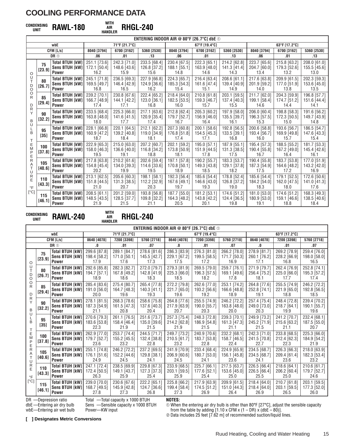# **WITH CONDENSING AIR UNIT RAWL-180**

**HANDLER RHGL-240**

|                     | ENTERING INDOOR AIR @ 80°F [26.7°C] dbe $\odot$ |                                                                 |                                      |                                      |                                      |                                      |                                      |                                      |                                      |                                      |                                      |
|---------------------|-------------------------------------------------|-----------------------------------------------------------------|--------------------------------------|--------------------------------------|--------------------------------------|--------------------------------------|--------------------------------------|--------------------------------------|--------------------------------------|--------------------------------------|--------------------------------------|
|                     |                                                 | wbE                                                             |                                      | 71°F [21.7°C]                        |                                      |                                      | 67°F [19.4°C]                        |                                      |                                      | 63°F [17.2°C]                        |                                      |
|                     |                                                 | CFM [L/s]                                                       | 8040 [3794]                          | 6700 [3162]                          | 5360 [2530]                          | 8040 [3794]                          | 6700 [3162]                          | 5360 [2530]                          | 8040 [3794]                          | 6700 [3162]                          | 5360 [2530]                          |
|                     |                                                 | DR <sup>1</sup>                                                 | .06                                  | .01                                  | .13                                  | .06                                  | .01                                  | .13                                  | .06                                  | .01                                  | .13                                  |
|                     | 75<br>[23.9]                                    | <b>Total BTUH [kW]</b><br><b>Sens BTUH [kW]</b><br><b>Power</b> | 251.1 [73.6]<br>172.1 [50.4]<br>16.2 | 242.3 [71.0]<br>148.6 [43.6]<br>15.9 | 233.5 [68.4]<br>126.8 [37.2]<br>15.6 | 230.4 [67.5]<br>188.1 [55.1]<br>14.8 | 222.3 [65.1]<br>163.9 [48.0]<br>14.6 | 214.2 [62.8]<br>141.3 [41.4]<br>14.3 | 223.7 [65.6]<br>204.7 [60.0]<br>13.4 | 215.8 [63.2]<br>179.3 [52.6]<br>13.2 | 208.0 [61.0]<br>155.5 [45.6]<br>13.0 |
| O<br>U              |                                                 |                                                                 |                                      |                                      |                                      |                                      |                                      |                                      |                                      |                                      |                                      |
| T.<br>D<br>O        | 80<br>[26.7]                                    | <b>Total BTUH [kW]</b><br>Sens BTUH [kW]<br><b>Power</b>        | 245.1 [71.8]<br>169.5 [49.7]<br>16.8 | 236.5 [69.3]<br>146.4 [42.9]<br>16.5 | 227.9 [66.8]<br>124.9 [36.6]<br>16.2 | 224.3 [65.7]<br>185.3 [54.3]<br>15.4 | 216.4 [63.4]<br>161.6 [47.4]<br>15.1 | 208.6 [61.1]<br>139.4 [40.9]<br>14.9 | 217.6 [63.8]<br>201.9 [59.2]<br>14.0 | 209.9 [61.5]<br>177.0 [51.9]<br>13.8 | 202.3 [59.3]<br>153.6 [45.0]<br>13.5 |
| O<br>R<br>D         | 85<br>[29.4]                                    | <b>Total BTUH [kW]</b><br><b>Sens BTUH [kW]</b><br><b>Power</b> | 239.2 [70.1]<br>166.7 [48.9]<br>17.4 | 230.8 [67.6]<br>144.1 [42.2]<br>17.1 | 222.4 [65.2]<br>123.0 [36.1]<br>16.8 | 218.4 [64.0]<br>182.5 [53.5]<br>16.0 | 210.8 [61.8]<br>159.3 [46.7]<br>15.7 | 203.1 [59.5]<br>137.4 [40.3]<br>15.5 | 211.7 [62.0]<br>199.1 [58.4]<br>14.6 | 204.3 [59.9]<br>174.7 [51.2]<br>14.4 | 196.8 [57.7]<br>151.6 [44.4]<br>14.1 |
| R<br>Y<br>B         | 90<br>$[32.2]$                                  | <b>Total BTUH [kW]</b><br><b>Sens BTUH [kW]</b><br><b>Power</b> | 233.5 [68.4]<br>163.8 [48.0]<br>18.0 | 225.3 [66.0]<br>141.6 [41.5]<br>17.7 | 217.1 [63.6]<br>120.9 [35.4]<br>17.4 | 212.8 [62.4]<br>179.7 [52.7]<br>16.7 | 205.3 [60.2]<br>156.9 [46.0]<br>16.4 | 197.9 [58.0]<br>135.5 [39.7]<br>16.1 | 206.0 [60.4]<br>196.3 [57.5]<br>15.3 | 198.8 [58.3]<br>172.3 [50.5]<br>15.0 | 191.6 [56.2]<br>149.7 [43.9]<br>14.8 |
| U<br>B<br>Т         | 95<br>$[35]$                                    | <b>Total BTUH [kW]</b><br><b>Sens BTUH [kW]</b><br>Power        | 228.1 [66.8]<br>160.9 [47.2]<br>18.7 | 220.1 [64.5]<br>139.2 [40.8]<br>18.4 | 212.1 [62.2]<br>119.0 [34.9]<br>18.1 | 207.3 [60.8]<br>176.8 [51.8]<br>17.4 | 200.1 [58.6]<br>154.5 [45.3]<br>17.1 | 192.8 [56.5]<br>133.5 [39.1]<br>16.8 | 200.6 [58.8]<br>193.4 [56.7]<br>16.0 | 193.6 [56.7]<br>169.9 [49.8]<br>15.7 | 186.5 [54.7]<br>147.6 [43.3]<br>15.4 |
| Ε<br>M<br>P<br>Ε    | 100<br>[37.8]                                   | <b>Total BTUH [kW]</b><br><b>Sens BTUH [kW]</b><br><b>Power</b> | 222.9 [65.3]<br>158.0 [46.3]<br>19.5 | 215.0 [63.0]<br>136.6 [40.0]<br>19.1 | 207.2 [60.7]<br>116.8 [34.2]<br>18.8 | 202.1 [59.2]<br>173.8 [50.9]<br>18.1 | 195.0 [57.1]<br>151.9 [44.5]<br>17.8 | 187.9 [55.1]<br>131.3 [38.5]<br>17.5 | 195.4 [57.3]<br>190.4 [55.8]<br>16.7 | 188.5 [55.2]<br>167.2 [49.0]<br>16.4 | 181.7 [53.3]<br>145.4 [42.6]<br>16.1 |
| R<br>Α<br>T<br>U    | 105<br>[40.6]                                   | <b>Total BTUH [kW]</b><br>Sens BTUH [kW]<br>Power               | 217.8 [63.8]<br>154.8 [45.4]<br>20.2 | 210.2 [61.6]<br>134.0 [39.3]<br>19.9 | 202.6 [59.4]<br>114.6 [33.6]<br>19.5 | 197.1 [57.8]<br>170.8 [50.1]<br>18.9 | 190.2 [55.7]<br>149.3 [43.8]<br>18.5 | 183.3 [53.7]<br>129.1 [37.8]<br>18.2 | 190.4 [55.8]<br>187.3 [54.9]<br>17.5 | 183.7 [53.8]<br>164.6 [48.2]<br>17.2 | 177.0 [51.9]<br>143.2 [42.0]<br>16.9 |
| R<br>E<br>$\circ$ F | 110<br>[43.3]                                   | <b>Total BTUH [kW]</b><br><b>Sens BTUH [kW]</b><br><b>Power</b> | 213.1 [62.5]<br>151.8 [44.5]<br>21.0 | 205.6 [60.3]<br>131.3 [38.5]<br>20.7 | 198.1 [58.1]<br>112.2 [32.9]<br>20.3 | 192.3 [56.4]<br>167.6 [49.1]<br>19.7 | 185.6 [54.4]<br>146.6 [43.0]<br>19.3 | 178.8 [52.4]<br>126.8 [37.2]<br>19.0 | 185.6 [54.4]<br>184.2 [54.0]<br>18.3 | 179.1 [52.5]<br>162.0 [47.5]<br>18.0 | 172.6 [50.6]<br>141.0 [41.3]<br>17.6 |
| [°C]                | 115<br>[46.1]                                   | <b>Total BTUH [kW]</b><br><b>Sens BTUH [kW]</b><br><b>Power</b> | 208.5 [61.1]<br>148.5 [43.5]<br>21.9 | 201.2 [59.0]<br>128.5 [37.7]<br>21.5 | 193.8 [56.8]<br>109.8 [32.2]<br>21.1 | 187.7 [55.0]<br>164.3 [48.2]<br>20.5 | 181.2 [53.1]<br>143.8 [42.2]<br>20.1 | 174.6 [51.2]<br>124.4 [36.5]<br>19.8 | 181.0 [53.0]<br>180.9 [53.0]<br>19.1 | 174.6 [51.2]<br>159.1 [46.6]<br>18.8 | 168.3 [49.3]<br>138.5 [40.6]<br>18.4 |

**WITH CONDENSING AIR UNIT RAWL-240 HANDLER**

# **RHGL-240**

|                                                            | ENTERING INDOOR AIR @ 80°F [26.7°C] dbe $\odot$ |                                                                  |                                      |                                      |                                      |                                      |                                      |                                      |                                      |                                      |                                      |
|------------------------------------------------------------|-------------------------------------------------|------------------------------------------------------------------|--------------------------------------|--------------------------------------|--------------------------------------|--------------------------------------|--------------------------------------|--------------------------------------|--------------------------------------|--------------------------------------|--------------------------------------|
|                                                            |                                                 | wbE                                                              |                                      | 71°F [21.7°C]                        |                                      |                                      | 67°F [19.4°C]                        |                                      |                                      | 63°F [17.2°C]                        |                                      |
|                                                            |                                                 | CFM [L/s]                                                        | 8640 [4078]                          | 7200 [3398]                          | 5760 [2718]                          | 8640 [4078]                          | 7200 [3398]                          | 5760 [2718]                          | 8640 [4078]                          | 7200 [3398]                          | 5760 [2718]                          |
|                                                            |                                                 | DR <sub>①</sub>                                                  | .0                                   | .01                                  | .07                                  | .0                                   | .01                                  | .07                                  | .0                                   | .01                                  | .07                                  |
| O                                                          | 75<br>[23.9]                                    | <b>Total BTUH [kW]</b><br><b>Sens BTUH [kW]</b><br><b>Power</b>  | 299.6 [87.8]<br>198.4 [58.2]<br>17.9 | 289.1 [84.7]<br>171.0 [50.1]<br>17.6 | 278.6 [81.6]<br>145.5 [42.7]<br>17.3 | 286.3 [83.9]<br>229.1 [67.2]<br>17.5 | 276.3 [81.0]<br>199.5 [58.5]<br>17.2 | 266.2 [78.0]<br>171.7 [50.3]<br>16.9 | 278.9 [81.7]<br>260.1 [76.2]<br>17.1 | 269.2 [78.9]<br>228.2 [66.9]<br>16.8 | 259.4 [76.0]<br>198.0 [58.0]<br>16.5 |
| U<br>T<br>D<br>O<br>O<br>R<br>D<br>$\frac{R}{Y}$<br>B<br>U | 80<br>[26.7]                                    | <b>Total BTUH [kW]</b><br>Sens BTUH [kW]<br><b>Power</b>         | 292.6 [85.8]<br>194.7 [57.1]<br>18.9 | 282.3 [82.7]<br>167.8 [49.2]<br>18.6 | 272.0 [79.7]<br>142.8 [41.9]<br>18.3 | 279.3 [81.9]<br>225.3 [66.0]<br>18.5 | 269.5 [79.0]<br>196.3 [57.5]<br>18.2 | 259.7 [76.1]<br>169.1 [49.6]<br>17.8 | 271.9 [79.7]<br>256.4 [75.2]<br>18.1 | 262.4 [76.9]<br>225.0 [66.0]<br>17.7 | 252.8 [74.1]<br>195.3 [57.2]<br>17.4 |
|                                                            | 85<br>[29.4]                                    | <b>Total BTUH [kW]</b><br><b>Sens BTUH [kW]</b><br><b>Power</b>  | 285.4 [83.6]<br>191.0 [56.0]<br>20.0 | 275.4 [80.7]<br>164.7 [48.3]<br>19.6 | 265.4 [77.8]<br>140.3 [41.1]<br>19.3 | 272.2 [79.8]<br>221.7 [65.0]<br>19.6 | 262.6 [77.0]<br>193.2 [56.6]<br>19.2 | 253.1 [74.2]<br>166.6 [48.8]<br>18.9 | 264.8 [77.6]<br>252.8 [74.1]<br>19.1 | 255.5 [74.9]<br>221.9 [65.0]<br>18.8 | 246.2 [72.2]<br>192.8 [56.5]<br>18.5 |
|                                                            | 90<br>[32.2]                                    | <b>Total BTUH [kW]</b><br>Sens BTUH [kW]<br><b>Power</b>         | 278.1 [81.5]<br>187.3 [54.9]<br>21.1 | 268.3 [78.6]<br>161.5 [47.3]<br>20.8 | 258.6 [75.8]<br>137.6 [40.3]<br>20.4 | 264.8 [77.6]<br>217.9 [63.9]<br>20.7 | 255.5 [74.9]<br>190.0 [55.7]<br>20.3 | 246.2 [72.2]<br>163.8 [48.0]<br>20.0 | 257.4 [75.4]<br>249.0 [73.0]<br>20.3 | 248.4 [72.8]<br>218.7 [64.1]<br>19.9 | 239.4 [70.2]<br>190.1 [55.7]<br>19.6 |
| L<br>B<br>T                                                | 95<br>[35]                                      | <b>Total BTUH [kW]</b><br>Sens BTUH [kW]<br>Power                | 270.6 [79.3]<br>183.6 [53.8]<br>22.3 | 261.1 [76.5]<br>158.4 [46.4]<br>21.9 | 251.6 [73.7]<br>135.0 [39.6]<br>21.5 | 257.3 [75.4]<br>214.2 [62.8]<br>21.9 | 248.3 [72.8]<br>186.9 [54.8]<br>21.5 | 239.3 [70.1]<br>161.3 [47.3]<br>21.1 | 249.9 [73.2]<br>245.2 [71.9]<br>21.5 | 241.2 [70.7]<br>215.6 [63.2]<br>21.1 | 232.4 [68.1]<br>187.5 [55.0]<br>20.7 |
| Ε<br>M<br>P<br>E<br>R                                      | 100<br>[37.8]                                   | <b>Total BTUH [kW]</b><br>Sens BTUH [kW]<br>Power                | 262.9 [77.0]<br>179.7 [52.7]<br>23.6 | 253.7 [74.4]<br>155.2 [45.5]<br>23.2 | 244.5 [71.7]<br>132.4 [38.8]<br>22.8 | 249.7 [73.2]<br>210.5 [61.7]<br>23.2 | 240.9 [70.6]<br>183.7 [53.8]<br>22.8 | 232.2 [68.1]<br>158.7 [46.5]<br>22.4 | 242.3 [71.0]<br>241.5 [70.8]<br>22.7 | 233.8 [68.5]<br>212.4 [62.3]<br>22.3 | 225.3 [66.0]<br>184.9 [54.2]<br>21.9 |
| Α<br>T<br>U<br>$\mathsf{R}$<br>E<br>$\circ$ F              | 105<br>[40.6]                                   | <b>Total BTUH [kW]</b><br><b>Sens BTUH [kW]]</b><br>Power        | 255.1 [74.8]<br>176.1 [51.6]<br>24.9 | 246.2 [72.2]<br>152.2 [44.6]<br>24.5 | 237.2 [69.5]<br>129.8 [38.1]<br>24.1 | 241.9 [70.9]<br>206.9 [60.6]<br>24.5 | 233.4 [68.4]<br>180.7 [53.0]<br>24.1 | 224.9 [65.9]<br>156.1 [45.8]<br>23.6 | 234.5 [68.7]<br>234.5 [68.7]<br>24.1 | 226.3 [66.3]<br>209.4 [61.4]<br>23.6 | 218.0 [63.9]<br>182.3 [53.4]<br>23.2 |
|                                                            | 110<br>[43.3]                                   | <b>Total BTUH [kW]</b><br><b>Sens BTUH [kW]]</b><br><b>Power</b> | 247.1 [72.4]<br>172.4 [50.5]<br>26.3 | 238.5 [69.9]<br>149.1 [43.7]<br>25.9 | 229.8 [67.3]<br>127.3 [37.3]<br>25.4 | 233.9 [68.5]<br>203.1 [59.5]<br>25.9 | 225.7 [66.1]<br>177.6 [52.1]<br>25.4 | 217.5 [63.7]<br>153.6 [45.0]<br>25.0 | 226.5 [66.4]<br>226.5 [66.4]<br>25.5 | 218.6 [64.1]<br>206.2 [60.4]<br>25.0 | 210.6 [61.7]<br>179.7 [52.7]<br>24.6 |
| [°C]                                                       | 115<br>[46.1]                                   | <b>Total BTUH [kW]</b><br>Sens BTUH [kW]<br><b>Power</b>         | 239.0 [70.0]<br>168.7 [49.5]<br>27.8 | 230.6 [67.6]<br>145.9 [42.8]<br>27.3 | 222.2 [65.1]<br>124.7 [36.6]<br>26.8 | 225.8 [66.2]<br>199.4 [58.4]<br>27.3 | 217.9 [63.9]<br>174.5 [51.2]<br>26.9 | 209.9 [61.5]<br>151.0 [44.3]<br>26.4 | 218.4 [64.0]<br>218.4 [64.0]<br>26.9 | 210.7 [61.8]<br>203.1 [59.5]<br>26.5 | 203.1 [59.5]<br>177.3 [52.0]<br>26.0 |

DR —Depression ratio dbE —Entering air dry bulb

wbE—Entering air wet bulb

Total —Total capacity x 1000 BTUH Sens —Sensible capacity x 1000 BTUH

Power—KW input

### **NOTES:**

➀ When the entering air dry bulb is other than 80°F [27°C], adjust the sensible capacity from the table by adding  $[1.10 \times \text{CFM} \times (1 - \text{DR}) \times (\text{dbE} - 80)].$ 

➁ Data includes 25 feet [7.62 m] of recommended suction/liquid lines.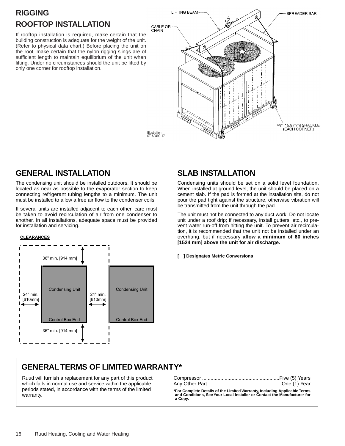# **RIGGING ROOFTOP INSTALLATION**

If rooftop installation is required, make certain that the building construction is adequate for the weight of the unit. (Refer to physical data chart.) Before placing the unit on the roof, make certain that the nylon rigging slings are of sufficient length to maintain equilibrium of the unit when lifting. Under no circumstances should the unit be lifted by only one corner for rooftop installation.



Illustration ST-A0890-17

# **GENERAL INSTALLATION**

The condensing unit should be installed outdoors. It should be located as near as possible to the evaporator section to keep connecting refrigerant tubing lengths to a minimum. The unit must be installed to allow a free air flow to the condenser coils.

If several units are installed adjacent to each other, care must be taken to avoid recirculation of air from one condenser to another. In all installations, adequate space must be provided for installation and servicing.

### **CLEARANCES**



# **SLAB INSTALLATION**

Condensing units should be set on a solid level foundation. When installed at ground level, the unit should be placed on a cement slab. If the pad is formed at the installation site, do not pour the pad tight against the structure, otherwise vibration will be transmitted from the unit through the pad.

The unit must not be connected to any duct work. Do not locate unit under a roof drip; if necessary, install gutters, etc., to prevent water run-off from hitting the unit. To prevent air recirculation, it is recommended that the unit not be installed under an overhang, but if necessary **allow a minimum of 60 inches [1524 mm] above the unit for air discharge.**

**[ ] Designates Metric Conversions**

# **GENERAL TERMS OF LIMITED WARRANTY\***

Ruud will furnish a replacement for any part of this product which fails in normal use and service within the applicable periods stated, in accordance with the terms of the limited warranty.

**\*For Complete Details of the Limited Warranty, Including Applicable Terms and Conditions, See Your Local Installer or Contact the Manufacturer for a Copy.**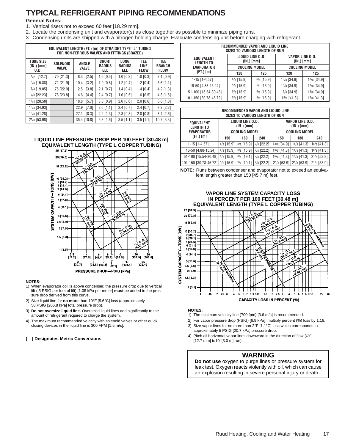# **TYPICAL REFRIGERANT PIPING RECOMMENDATIONS**

### **General Notes:**

- 1. Vertical risers not to exceed 60 feet [18.29 mm].
- 2. Locate the condensing unit and evaporator(s) as close together as possible to minimize piping runs.
- 3. Condensing units are shipped with a nitrogen holding charge. Evacuate condensing unit before charging with refrigerant.

|                                        | EQUIVALENT LENGTH (FT.) [m] OF STRAIGHT TYPE "L" TUBING<br>FOR NON-FERROUS VALVES AND FITTINGS (BRAZED) |                       |                                      |                              |                                   |                                     |  |  |
|----------------------------------------|---------------------------------------------------------------------------------------------------------|-----------------------|--------------------------------------|------------------------------|-----------------------------------|-------------------------------------|--|--|
| <b>TUBE SIZE</b><br>(IN.) [mm]<br>0.D. | <b>SOLENOID</b><br><b>VALVE</b>                                                                         | ANGLE<br><b>VALVE</b> | <b>SHORT</b><br><b>RADIUS</b><br>ell | LONG<br><b>RADIUS</b><br>ell | TEE<br><b>LINE</b><br><b>FLOW</b> | TEE<br><b>BRANCH</b><br><b>FLOW</b> |  |  |
| $1/2$ [12.7]                           | 70 [21.3]                                                                                               | $[2.5]$<br>8.3        | $1.6$ [0.5]                          | $1.0$ [0.3]                  | $1.0$ [0.3]                       | $3.1$ [0.9]                         |  |  |
| $5/8$ [15.88]                          | 72 [21.9]                                                                                               | [3.2]<br>10.4         | $1.9$ [0.6]                          | $1.2$ [0.4]                  | $1.2$ [0.4]                       | $3.6$ [1.1]                         |  |  |
| $3/4$ [19.05]                          | 75 [22.9]                                                                                               | [3.8]<br>12.5         | $2.1$ [0.7]                          | $1.4$ [0.4]                  | $1.4$ [0.4]                       | $4.2$ [1.3]                         |  |  |
| $7/8$ [22.23]                          | 78 [23.8]                                                                                               | [4.4]<br>14.6         | $2.4$ [0.7]                          | $1.6$ [0.5]                  | $1.6$ [0.5]                       | $4.8$ [1.5]                         |  |  |
| 11/8 [28.58]                           |                                                                                                         | 18.8<br>[5.7]         | $3.0$ [0.9]                          | $2.0$ [0.6]                  | $2.0$ [0.6]                       | $6.0$ [1.8]                         |  |  |
| 13/8 [34.93]                           |                                                                                                         | [7.0]<br>22.9         | $3.6$ [1.1]                          | $2.4$ [0.7]                  | $2.4$ [0.7]                       | $7.2$ [2.2]                         |  |  |
| 15/8 [41.28]                           |                                                                                                         | [8.3]<br>27.1         | $4.2$ [1.3]                          | $2.8$ [0.8]                  | $2.8$ [0.8]                       | 8.4 [2.6]                           |  |  |
| 21/8 [53.98]                           |                                                                                                         | 35.4 [10.8]           | $5.3$ [1.6]                          | $3.5$ [1.1]                  | $3.5$ [1.1]                       | 10.7 [3.3]                          |  |  |

# **LIQUID LINE PRESSURE DROP PER 100 FEET [30.48 m] EQUIVALENT LENGTH (TYPE L COPPER TUBING)**<br>25 [87.9]



### **NOTES:**

- 1) When evaporator coil is above condenser, the pressure drop due to vertical lift (.5 PSIG per foot of lift) [1.05 kPa per meter] **must** be added to the pressure drop derived from this curve.
- 2) Size liquid line for **no more** than 10°F [5.6°C] loss (approximately 50 PSIG [206.8 kPa] total pressure drop).
- 3) **Do not oversize liquid line.** Oversized liquid lines add significantly to the amount of refrigerant required to charge the system.
- 4) The maximum recommended velocity with solenoid valves or other quick closing devices in the liquid line is 300 FPM [1.5 m/s].

### **[ ] Designates Metric Conversions**

| RECOMMENDED VAPOR AND LIQUID LINE<br>SIZES TO VARIOUS LENGTH OF RUN |              |                                |                               |             |  |  |
|---------------------------------------------------------------------|--------------|--------------------------------|-------------------------------|-------------|--|--|
| <b>EQUIVALENT</b><br><b>LENGTH TO</b>                               |              | LIQUID LINE 0.D.<br>(IN.) [mm] | VAPOR LINE O.D.<br>(IN.) [mm] |             |  |  |
| <b>EVAPORATOR</b>                                                   |              | <b>COOLING MODEL</b>           | <b>COOLING MODEL</b>          |             |  |  |
| $(FT.)$ $[m]$                                                       | 120          | 125                            | 120                           | 125         |  |  |
| $1-15$ [1-4.57]                                                     | $5/8$ [15.9] | $5/8$ [15.9]                   | 13/8 [34.9]                   | 13/8 [34.9] |  |  |
| 16-50 [4.88-15.24]                                                  | $5/8$ [15.9] | $5/8$ [15.9]                   | 13/8 [34.9]                   | 13/8 [34.9] |  |  |
| 51-100 [15.54-30.48]                                                | $5/8$ [15.9] | $5/8$ [15.9]                   | 13/8 [34.9]                   | 13/8 [34.9] |  |  |
| 101-150 [30.78-45.72]                                               | $5/8$ [15.9] | $5/8$ [15.9]                   | $15/8$ [41.3]                 | 15/8 [41.3] |  |  |

| RECOMMENDED VAPOR AND LIQUID LINE<br><b>SIZES TO VARIOUS LENGTH OF RUN</b> |                                                                        |                                        |              |                  |                      |                  |  |
|----------------------------------------------------------------------------|------------------------------------------------------------------------|----------------------------------------|--------------|------------------|----------------------|------------------|--|
| <b>EQUIVALENT</b><br><b>LENGTH TO</b>                                      | LIQUID LINE 0.D.<br><b>VAPOR LINE O.D.</b><br>(IN.) [mm]<br>(IN.) [mm] |                                        |              |                  |                      |                  |  |
| <b>EVAPORATOR</b>                                                          |                                                                        | <b>COOLING MODEL</b>                   |              |                  | <b>COOLING MODEL</b> |                  |  |
| $(FT.)$ $[m]$                                                              | 150                                                                    | 180                                    | 240          | 150              | 180                  | 240              |  |
| $1-15$ [1-4.57]                                                            | $5/8$ [15.9]                                                           | $5/8$ [15.9]                           | $7/8$ [22.2] | 13/8 [34.9]      | 15/8 [41.3]          | $15/8$ [41.3]    |  |
| 16-50 [4.88-15.24]                                                         | $5/8$ [15.9]                                                           | $5/8$ [15.9]                           | $7/8$ [22.2] | 15/8 [41.3]      | 15/8 [41.3]          | 15/8 [41.3]      |  |
| 51-100 [15.54-30.48]                                                       | $5/8$ [15.9]                                                           | $3/4$ [19.1]                           | $7/8$ [22.2] | 15/8 [41.3]      | 15/8 [41.3]          | $2^{1/8}$ [53.9] |  |
| 101-150 [30.78-45.72]                                                      |                                                                        | $5/8$ [15.9] $3/4$ [19.1] $7/8$ [22.2] |              | $2^{1/8}$ [53.9] | $2^{1/8}$ [53.9]     | $2^{1/8}$ [53.9] |  |

**NOTE:** Runs between condenser and evaporator not to exceed an equivalent length greater than 150 [45.7 m] feet.

# **VAPOR LINE SYSTEM CAPACITY LOSS IN PERCENT PER 100 FEET [30.48 m]**



### **NOTES:**

- 1) The minimum velocity line (700 fpm) [3.6 m/s] is recommended.
- 2) For vapor pressure drop (PSIG) [6.9 kPa], multiply percent (%) loss by 1.18.
- 3) Size vapor lines for no more than 2°F [1.1°C] loss which corresponds to approximately 5 PSIG [20.7 kPa] pressure drop.
- 4) Pitch all horizontal vapor lines downward in the direction of flow (1/2" [12.7 mm] to10' [3.0 m] run).

### **WARNING**

**Do not use** oxygen to purge lines or pressure system for leak test. Oxygen reacts violently with oil, which can cause an explosion resulting in severe personal injury or death.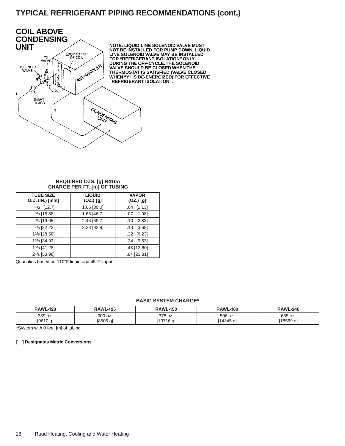# **TYPICAL REFRIGERANT PIPING RECOMMENDATIONS (cont.)**



### **REQUIRED OZS. [g] R410A CHARGE PER FT. [m] OF TUBING**

| <b>TUBE SIZE</b><br>O.D. (IN.) [mm] | <b>LIQUID</b><br>$(OZ.)$ $[g]$ | <b>VAPOR</b><br>$(OZ.)$ [g] |
|-------------------------------------|--------------------------------|-----------------------------|
| $1/2$ [12.7]                        | 1.06 [30.0]                    | $.04$ [1.13]                |
| $5/8$ [15.88]                       | 1.65 [46.7]                    | [1.98]<br>.07               |
| $3/4$ [19.05]                       | 2.46 [69.7]                    | [2.83]<br>.10               |
| 7/8 [22.23]                         | 3.28 [92.9]                    | [3.68]<br>.13               |
| 11/8 [28.58]                        |                                | $.22$ [6.23]                |
| 13/8 [34.93]                        |                                | $.34$ [9.63]                |
| 15/8 [41.28]                        |                                | .48 [13.60]                 |
| 2 <sup>1</sup> /8 [53.98]           |                                | .84 [23.81]                 |

Quantities based on 110°F liquid and 45°F vapor.

### **BASIC SYSTEM CHARGE\***

| <b>RAWL-120</b> | <b>RAWL-125</b> | <b>RAWL-150</b> | <b>RAWL-180</b> | <b>RAWL-240</b> |
|-----------------|-----------------|-----------------|-----------------|-----------------|
| 339 oz.         | 300 oz.         | 378 oz.         | 506 oz.         | 655 oz.         |
| [9610 g]        | '8505 aì        | 10716 g]        | [14345 g]       | '18569 g]       |

\*System with 0 feet [m] of tubing.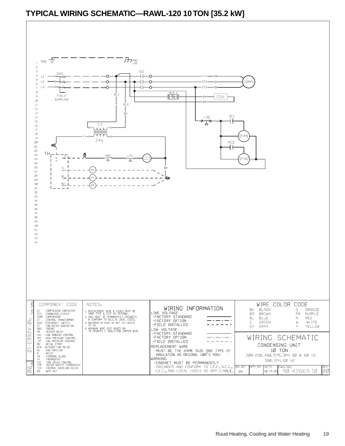# **TYPICAL WIRING SCHEMATIC—RAWL-120 10 TON [35.2 kW]**

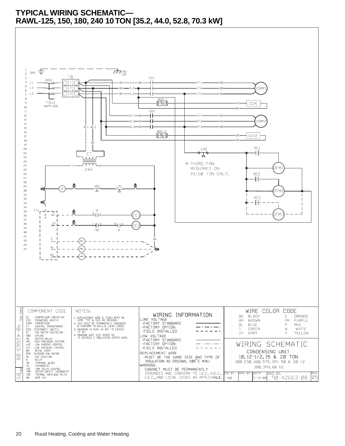# **TYPICAL WIRING SCHEMATIC— RAWL-125, 150, 180, 240 10 TON [35.2, 44.0, 52.8, 70.3 kW]**

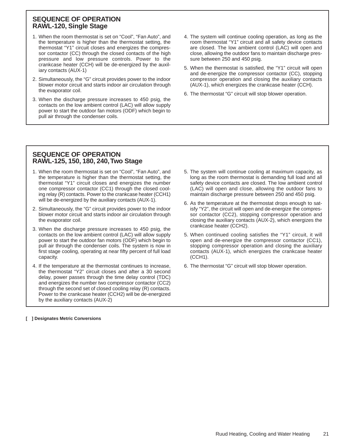## **SEQUENCE OF OPERATION RAWL-120, Single Stage**

- 1. When the room thermostat is set on "Cool", "Fan Auto", and the temperature is higher than the thermostat setting, the thermostat "Y1" circuit closes and energizes the compressor contactor (CC) through the closed contacts of the high pressure and low pressure controls. Power to the crankcase heater (CCH) will be de-energized by the auxiliary contacts (AUX-1)
- 2. Simultaneously, the "G" circuit provides power to the indoor blower motor circuit and starts indoor air circulation through the evaporator coil.
- 3. When the discharge pressure increases to 450 psig, the contacts on the low ambient control (LAC) will allow supply power to start the outdoor fan motors (ODF) which begin to pull air through the condenser coils.
- 4. The system will continue cooling operation, as long as the room thermostat "Y1" circuit and all safety device contacts are closed. The low ambient control (LAC) will open and close, allowing the outdoor fans to maintain discharge pressure between 250 and 450 psig.
- 5. When the thermostat is satisfied, the "Y1" circuit will open and de-energize the compressor contactor (CC), stopping compressor operation and closing the auxiliary contacts (AUX-1), which energizes the crankcase heater (CCH).
- 6. The thermostat "G" circuit will stop blower operation.

# **SEQUENCE OF OPERATION RAWL-125, 150, 180, 240,Two Stage**

- 1. When the room thermostat is set on "Cool", "Fan Auto", and the temperature is higher than the thermostat setting, the thermostat "Y1" circuit closes and energizes the number one compressor contactor (CC1) through the closed cooling relay (R) contacts. Power to the crankcase heater (CCH1) will be de-energized by the auxiliary contacts (AUX-1).
- 2. Simultaneously, the "G" circuit provides power to the indoor blower motor circuit and starts indoor air circulation through the evaporator coil.
- 3. When the discharge pressure increases to 450 psig, the contacts on the low ambient control (LAC) will allow supply power to start the outdoor fan motors (ODF) which begin to pull air through the condenser coils. The system is now in first stage cooling, operating at near fifty percent of full load capacity.
- 4. If the temperature at the thermostat continues to increase, the thermostat "Y2" circuit closes and after a 30 second delay, power passes through the time delay control (TDC) and energizes the number two compressor contactor (CC2) through the second set of closed cooling relay (R) contacts. Power to the crankcase heater (CCH2) will be de-energized by the auxiliary contacts (AUX-2)
- 5. The system will continue cooling at maximum capacity, as long as the room thermostat is demanding full load and all safety device contacts are closed. The low ambient control (LAC) will open and close, allowing the outdoor fans to maintain discharge pressure between 250 and 450 psig.
- 6. As the temperature at the thermostat drops enough to satisfy "Y2", the circuit will open and de-energize the compressor contactor (CC2), stopping compressor operation and closing the auxiliary contacts (AUX-2), which energizes the crankcase heater (CCH2).
- 5. When continued cooling satisfies the "Y1" circuit, it will open and de-energize the compressor contactor (CC1), stopping compressor operation and closing the auxiliary contacts (AUX-1), which energizes the crankcase heater (CCH1).
- 6. The thermostat "G" circuit will stop blower operation.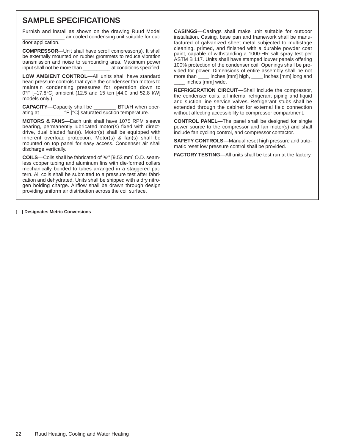# **SAMPLE SPECIFICATIONS**

Furnish and install as shown on the drawing Ruud Model air cooled condensing unit suitable for out-

door application.

**COMPRESSOR**—Unit shall have scroll compressor(s). It shall be externally mounted on rubber grommets to reduce vibration transmission and noise to surrounding area. Maximum power input shall not be more than \_\_\_\_\_\_\_\_\_\_ at conditions specified.

**LOW AMBIENT CONTROL**—All units shall have standard head pressure controls that cycle the condenser fan motors to maintain condensing pressures for operation down to 0°F [–17.8°C] ambient (12.5 and 15 ton [44.0 and 52.8 kW] models only.)

**CAPACITY**—Capacity shall be \_\_\_\_\_\_\_\_ BTU/H when operating at \_\_\_\_\_\_\_\_ °F [°C] saturated suction temperature.

**MOTORS & FANS**—Each unit shall have 1075 RPM sleeve bearing, permanently lubricated motor(s) fixed with directdrive, dual bladed fan(s). Motor(s) shall be equipped with inherent overload protection. Motor(s) & fan(s) shall be mounted on top panel for easy access. Condenser air shall discharge vertically.

**COILS**—Coils shall be fabricated of 3/8" [9.53 mm] O.D. seamless copper tubing and aluminum fins with die-formed collars mechanically bonded to tubes arranged in a staggered pattern. All coils shall be submitted to a pressure test after fabrication and dehydrated. Units shall be shipped with a dry nitrogen holding charge. Airflow shall be drawn through design providing uniform air distribution across the coil surface.

**CASINGS**—Casings shall make unit suitable for outdoor installation. Casing, base pan and framework shall be manufactured of galvanized sheet metal subjected to multistage cleaning, primed, and finished with a durable powder coat paint, capable of withstanding a 1000-HR salt spray test per ASTM B 117. Units shall have stamped louver panels offering 100% protection of the condenser coil. Openings shall be provided for power. Dimensions of entire assembly shall be not more than  $\text{...}$  inches [mm] long and more than \_\_\_\_ inches [mm] high, \_\_\_\_ inches [mm] long and inches [mm] wide.

**REFRIGERATION CIRCUIT**—Shall include the compressor, the condenser coils, all internal refrigerant piping and liquid and suction line service valves. Refrigerant stubs shall be extended through the cabinet for external field connection without affecting accessibility to compressor compartment.

**CONTROL PANEL**—The panel shall be designed for single power source to the compressor and fan motor(s) and shall include fan cycling control, and compressor contactor.

**SAFETY CONTROLS**—Manual reset high pressure and automatic reset low pressure control shall be provided.

**FACTORY TESTING**—All units shall be test run at the factory.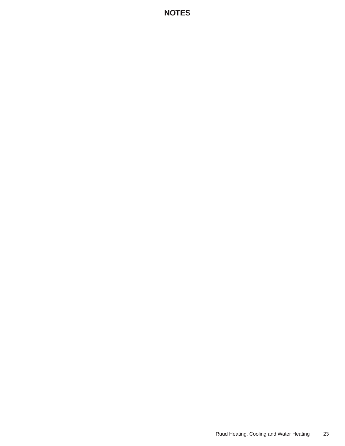# **NOTES**